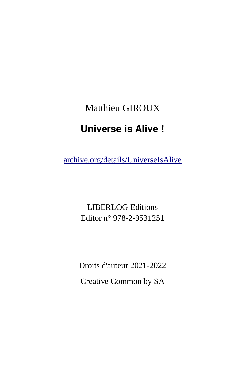#### Matthieu GIROUX

#### **Universe is Alive !**

[archive.org/details/UniverseIsAlive](https://archive.org/details/UniverseIsAlive)

LIBERLOG Editions Editor n° 978-2-9531251

Droits d'auteur 2021-2022

Creative Common by SA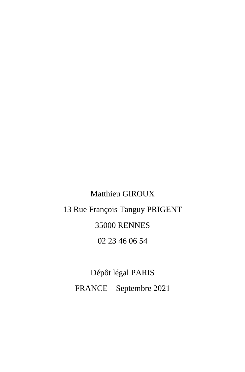# Matthieu GIROUX 13 Rue François Tanguy PRIGENT 35000 RENNES 02 23 46 06 54

Dépôt légal PARIS FRANCE – Septembre 2021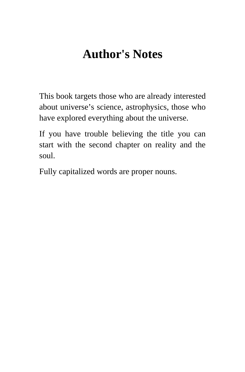# <span id="page-4-0"></span>**Author's Notes**

This book targets those who are already interested about universe's science, astrophysics, those who have explored everything about the universe.

If you have trouble believing the title you can start with the second chapter on reality and the soul.

Fully capitalized words are proper nouns.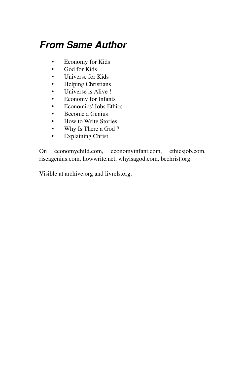### *From Same Author*

- Economy for Kids<br>• God for Kids
- God for Kids
- Universe for Kids<br>• Helping Christians
- Helping Christians
- Universe is Alive !<br>• Economy for Infan
- Economy for Infants
- Economics' Jobs Ethics
- Become a Genius<br>• How to Write Stor
- How to Write Stories<br>• Why Is There a God?
- Why Is There a God?<br>• Explaining Christ
- **Explaining Christ**

On economychild.com, economyinfant.com, ethicsjob.com, riseagenius.com, howwrite.net, whyisagod.com, bechrist.org.

Visible at archive.org and livrels.org.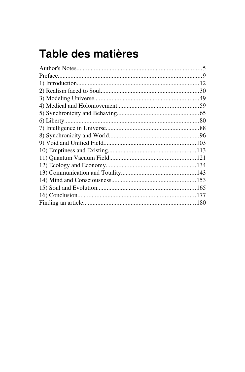# Table des matières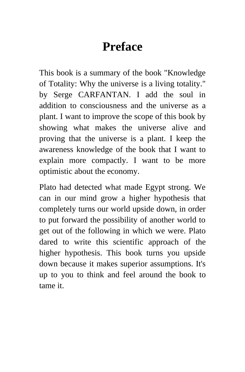# <span id="page-8-0"></span>**Preface**

This book is a summary of the book "Knowledge of Totality: Why the universe is a living totality." by Serge CARFANTAN. I add the soul in addition to consciousness and the universe as a plant. I want to improve the scope of this book by showing what makes the universe alive and proving that the universe is a plant. I keep the awareness knowledge of the book that I want to explain more compactly. I want to be more optimistic about the economy.

Plato had detected what made Egypt strong. We can in our mind grow a higher hypothesis that completely turns our world upside down, in order to put forward the possibility of another world to get out of the following in which we were. Plato dared to write this scientific approach of the higher hypothesis. This book turns you upside down because it makes superior assumptions. It's up to you to think and feel around the book to tame it.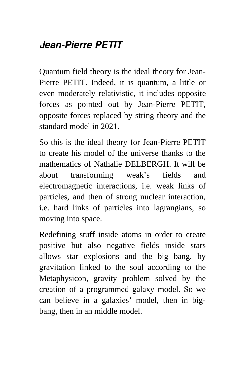### *Jean-Pierre PETIT*

Quantum field theory is the ideal theory for Jean-Pierre PETIT. Indeed, it is quantum, a little or even moderately relativistic, it includes opposite forces as pointed out by Jean-Pierre PETIT, opposite forces replaced by string theory and the standard model in 2021.

So this is the ideal theory for Jean-Pierre PETIT to create his model of the universe thanks to the mathematics of Nathalie DELBERGH. It will be about transforming weak's fields and electromagnetic interactions, i.e. weak links of particles, and then of strong nuclear interaction, i.e. hard links of particles into lagrangians, so moving into space.

Redefining stuff inside atoms in order to create positive but also negative fields inside stars allows star explosions and the big bang, by gravitation linked to the soul according to the Metaphysicon, gravity problem solved by the creation of a programmed galaxy model. So we can believe in a galaxies' model, then in bigbang, then in an middle model.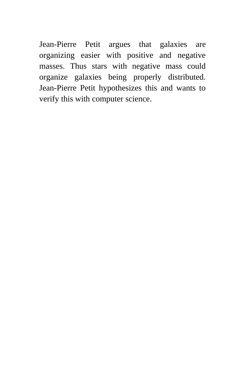Jean-Pierre Petit argues that galaxies are organizing easier with positive and negative masses. Thus stars with negative mass could organize galaxies being properly distributed. Jean-Pierre Petit hypothesizes this and wants to verify this with computer science.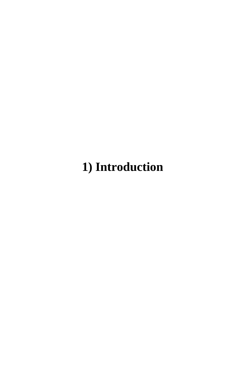# <span id="page-11-0"></span>**1) Introduction**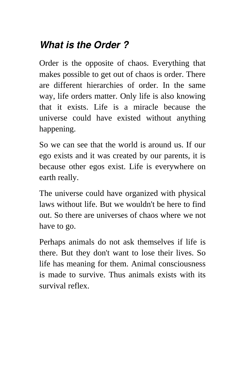## *What is the Order ?*

Order is the opposite of chaos. Everything that makes possible to get out of chaos is order. There are different hierarchies of order. In the same way, life orders matter. Only life is also knowing that it exists. Life is a miracle because the universe could have existed without anything happening.

So we can see that the world is around us. If our ego exists and it was created by our parents, it is because other egos exist. Life is everywhere on earth really.

The universe could have organized with physical laws without life. But we wouldn't be here to find out. So there are universes of chaos where we not have to go.

Perhaps animals do not ask themselves if life is there. But they don't want to lose their lives. So life has meaning for them. Animal consciousness is made to survive. Thus animals exists with its survival reflex.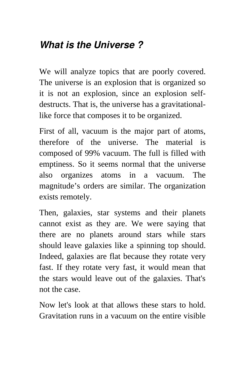#### *What is the Universe ?*

We will analyze topics that are poorly covered. The universe is an explosion that is organized so it is not an explosion, since an explosion selfdestructs. That is, the universe has a gravitationallike force that composes it to be organized.

First of all, vacuum is the major part of atoms, therefore of the universe. The material is composed of 99% vacuum. The full is filled with emptiness. So it seems normal that the universe also organizes atoms in a vacuum. The magnitude's orders are similar. The organization exists remotely.

Then, galaxies, star systems and their planets cannot exist as they are. We were saying that there are no planets around stars while stars should leave galaxies like a spinning top should. Indeed, galaxies are flat because they rotate very fast. If they rotate very fast, it would mean that the stars would leave out of the galaxies. That's not the case.

Now let's look at that allows these stars to hold. Gravitation runs in a vacuum on the entire visible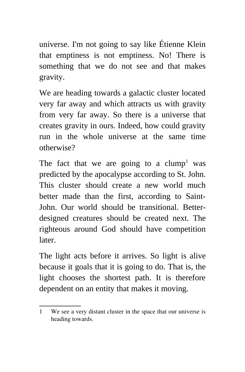universe. I'm not going to say like Étienne Klein that emptiness is not emptiness. No! There is something that we do not see and that makes gravity.

We are heading towards a galactic cluster located very far away and which attracts us with gravity from very far away. So there is a universe that creates gravity in ours. Indeed, how could gravity run in the whole universe at the same time otherwise?

The fact that we are going to a  $clump<sup>1</sup>$  $clump<sup>1</sup>$  $clump<sup>1</sup>$  was predicted by the apocalypse according to St. John. This cluster should create a new world much better made than the first, according to Saint-John. Our world should be transitional. Betterdesigned creatures should be created next. The righteous around God should have competition later.

The light acts before it arrives. So light is alive because it goals that it is going to do. That is, the light chooses the shortest path. It is therefore dependent on an entity that makes it moving.

<span id="page-14-0"></span><sup>1</sup> We see a very distant cluster in the space that our universe is heading towards.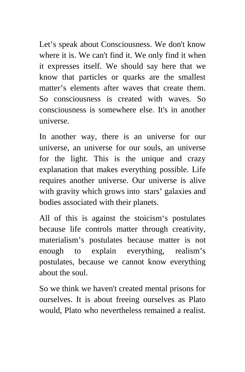Let's speak about Consciousness. We don't know where it is. We can't find it. We only find it when it expresses itself. We should say here that we know that particles or quarks are the smallest matter's elements after waves that create them. So consciousness is created with waves. So consciousness is somewhere else. It's in another universe.

In another way, there is an universe for our universe, an universe for our souls, an universe for the light. This is the unique and crazy explanation that makes everything possible. Life requires another universe. Our universe is alive with gravity which grows into stars' galaxies and bodies associated with their planets.

All of this is against the stoicism's postulates because life controls matter through creativity, materialism's postulates because matter is not enough to explain everything, realism's postulates, because we cannot know everything about the soul.

So we think we haven't created mental prisons for ourselves. It is about freeing ourselves as Plato would, Plato who nevertheless remained a realist.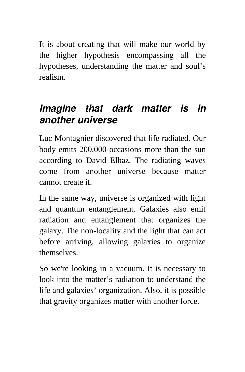It is about creating that will make our world by the higher hypothesis encompassing all the hypotheses, understanding the matter and soul's realism.

#### *Imagine that dark matter is in another universe*

Luc Montagnier discovered that life radiated. Our body emits 200,000 occasions more than the sun according to David Elbaz. The radiating waves come from another universe because matter cannot create it.

In the same way, universe is organized with light and quantum entanglement. Galaxies also emit radiation and entanglement that organizes the galaxy. The non-locality and the light that can act before arriving, allowing galaxies to organize themselves.

So we're looking in a vacuum. It is necessary to look into the matter's radiation to understand the life and galaxies' organization. Also, it is possible that gravity organizes matter with another force.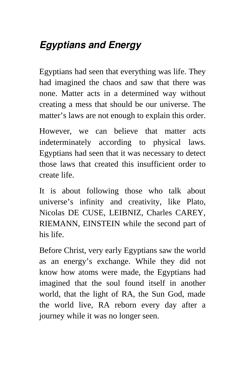## *Egyptians and Energy*

Egyptians had seen that everything was life. They had imagined the chaos and saw that there was none. Matter acts in a determined way without creating a mess that should be our universe. The matter's laws are not enough to explain this order.

However, we can believe that matter acts indeterminately according to physical laws. Egyptians had seen that it was necessary to detect those laws that created this insufficient order to create life.

It is about following those who talk about universe's infinity and creativity, like Plato, Nicolas DE CUSE, LEIBNIZ, Charles CAREY, RIEMANN, EINSTEIN while the second part of his life.

Before Christ, very early Egyptians saw the world as an energy's exchange. While they did not know how atoms were made, the Egyptians had imagined that the soul found itself in another world, that the light of RA, the Sun God, made the world live, RA reborn every day after a journey while it was no longer seen.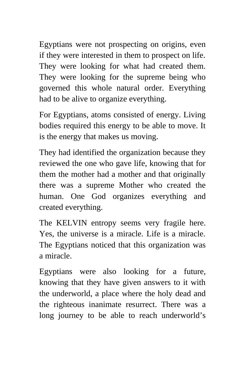Egyptians were not prospecting on origins, even if they were interested in them to prospect on life. They were looking for what had created them. They were looking for the supreme being who governed this whole natural order. Everything had to be alive to organize everything.

For Egyptians, atoms consisted of energy. Living bodies required this energy to be able to move. It is the energy that makes us moving.

They had identified the organization because they reviewed the one who gave life, knowing that for them the mother had a mother and that originally there was a supreme Mother who created the human. One God organizes everything and created everything.

The KELVIN entropy seems very fragile here. Yes, the universe is a miracle. Life is a miracle. The Egyptians noticed that this organization was a miracle.

Egyptians were also looking for a future, knowing that they have given answers to it with the underworld, a place where the holy dead and the righteous inanimate resurrect. There was a long journey to be able to reach underworld's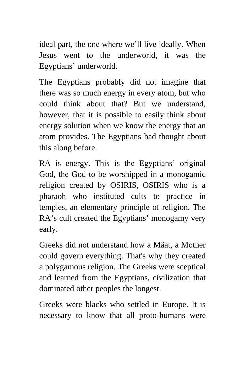ideal part, the one where we'll live ideally. When Jesus went to the underworld, it was the Egyptians' underworld.

The Egyptians probably did not imagine that there was so much energy in every atom, but who could think about that? But we understand, however, that it is possible to easily think about energy solution when we know the energy that an atom provides. The Egyptians had thought about this along before.

RA is energy. This is the Egyptians' original God, the God to be worshipped in a monogamic religion created by OSIRIS, OSIRIS who is a pharaoh who instituted cults to practice in temples, an elementary principle of religion. The RA's cult created the Egyptians' monogamy very early.

Greeks did not understand how a Mâat, a Mother could govern everything. That's why they created a polygamous religion. The Greeks were sceptical and learned from the Egyptians, civilization that dominated other peoples the longest.

Greeks were blacks who settled in Europe. It is necessary to know that all proto-humans were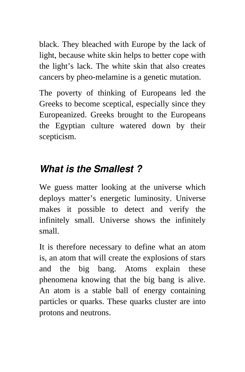black. They bleached with Europe by the lack of light, because white skin helps to better cope with the light's lack. The white skin that also creates cancers by pheo-melamine is a genetic mutation.

The poverty of thinking of Europeans led the Greeks to become sceptical, especially since they Europeanized. Greeks brought to the Europeans the Egyptian culture watered down by their scepticism.

#### *What is the Smallest ?*

We guess matter looking at the universe which deploys matter's energetic luminosity. Universe makes it possible to detect and verify the infinitely small. Universe shows the infinitely small.

It is therefore necessary to define what an atom is, an atom that will create the explosions of stars and the big bang. Atoms explain these phenomena knowing that the big bang is alive. An atom is a stable ball of energy containing particles or quarks. These quarks cluster are into protons and neutrons.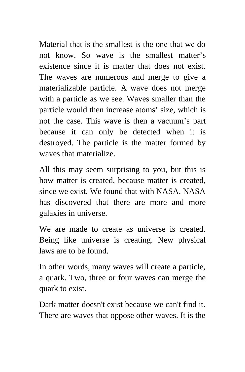Material that is the smallest is the one that we do not know. So wave is the smallest matter's existence since it is matter that does not exist. The waves are numerous and merge to give a materializable particle. A wave does not merge with a particle as we see. Waves smaller than the particle would then increase atoms' size, which is not the case. This wave is then a vacuum's part because it can only be detected when it is destroyed. The particle is the matter formed by waves that materialize.

All this may seem surprising to you, but this is how matter is created, because matter is created, since we exist. We found that with NASA. NASA has discovered that there are more and more galaxies in universe.

We are made to create as universe is created. Being like universe is creating. New physical laws are to be found.

In other words, many waves will create a particle, a quark. Two, three or four waves can merge the quark to exist.

Dark matter doesn't exist because we can't find it. There are waves that oppose other waves. It is the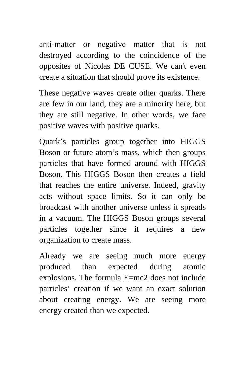anti-matter or negative matter that is not destroyed according to the coincidence of the opposites of Nicolas DE CUSE. We can't even create a situation that should prove its existence.

These negative waves create other quarks. There are few in our land, they are a minority here, but they are still negative. In other words, we face positive waves with positive quarks.

Quark's particles group together into HIGGS Boson or future atom's mass, which then groups particles that have formed around with HIGGS Boson. This HIGGS Boson then creates a field that reaches the entire universe. Indeed, gravity acts without space limits. So it can only be broadcast with another universe unless it spreads in a vacuum. The HIGGS Boson groups several particles together since it requires a new organization to create mass.

Already we are seeing much more energy produced than expected during atomic explosions. The formula E=mc2 does not include particles' creation if we want an exact solution about creating energy. We are seeing more energy created than we expected.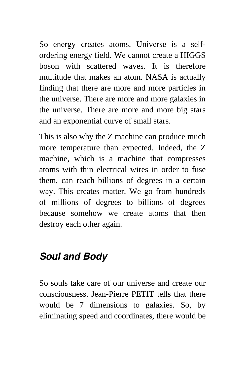So energy creates atoms. Universe is a selfordering energy field. We cannot create a HIGGS boson with scattered waves. It is therefore multitude that makes an atom. NASA is actually finding that there are more and more particles in the universe. There are more and more galaxies in the universe. There are more and more big stars and an exponential curve of small stars.

This is also why the Z machine can produce much more temperature than expected. Indeed, the Z machine, which is a machine that compresses atoms with thin electrical wires in order to fuse them, can reach billions of degrees in a certain way. This creates matter. We go from hundreds of millions of degrees to billions of degrees because somehow we create atoms that then destroy each other again.

#### *Soul and Body*

So souls take care of our universe and create our consciousness. Jean-Pierre PETIT tells that there would be 7 dimensions to galaxies. So, by eliminating speed and coordinates, there would be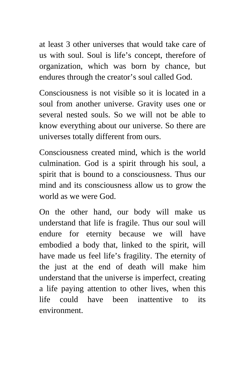at least 3 other universes that would take care of us with soul. Soul is life's concept, therefore of organization, which was born by chance, but endures through the creator's soul called God.

Consciousness is not visible so it is located in a soul from another universe. Gravity uses one or several nested souls. So we will not be able to know everything about our universe. So there are universes totally different from ours.

Consciousness created mind, which is the world culmination. God is a spirit through his soul, a spirit that is bound to a consciousness. Thus our mind and its consciousness allow us to grow the world as we were God.

On the other hand, our body will make us understand that life is fragile. Thus our soul will endure for eternity because we will have embodied a body that, linked to the spirit, will have made us feel life's fragility. The eternity of the just at the end of death will make him understand that the universe is imperfect, creating a life paying attention to other lives, when this life could have been inattentive to its environment.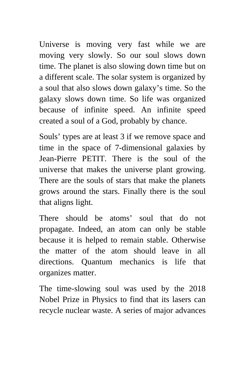Universe is moving very fast while we are moving very slowly. So our soul slows down time. The planet is also slowing down time but on a different scale. The solar system is organized by a soul that also slows down galaxy's time. So the galaxy slows down time. So life was organized because of infinite speed. An infinite speed created a soul of a God, probably by chance.

Souls' types are at least 3 if we remove space and time in the space of 7-dimensional galaxies by Jean-Pierre PETIT. There is the soul of the universe that makes the universe plant growing. There are the souls of stars that make the planets grows around the stars. Finally there is the soul that aligns light.

There should be atoms' soul that do not propagate. Indeed, an atom can only be stable because it is helped to remain stable. Otherwise the matter of the atom should leave in all directions. Quantum mechanics is life that organizes matter.

The time-slowing soul was used by the 2018 Nobel Prize in Physics to find that its lasers can recycle nuclear waste. A series of major advances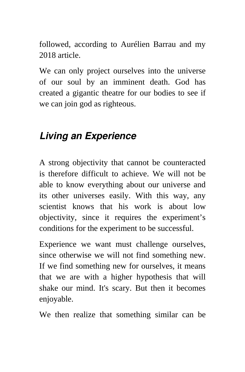followed, according to Aurélien Barrau and my 2018 article.

We can only project ourselves into the universe of our soul by an imminent death. God has created a gigantic theatre for our bodies to see if we can join god as righteous.

#### *Living an Experience*

A strong objectivity that cannot be counteracted is therefore difficult to achieve. We will not be able to know everything about our universe and its other universes easily. With this way, any scientist knows that his work is about low objectivity, since it requires the experiment's conditions for the experiment to be successful.

Experience we want must challenge ourselves, since otherwise we will not find something new. If we find something new for ourselves, it means that we are with a higher hypothesis that will shake our mind. It's scary. But then it becomes enjoyable.

We then realize that something similar can be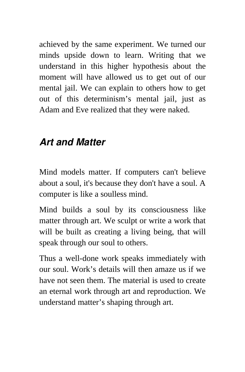achieved by the same experiment. We turned our minds upside down to learn. Writing that we understand in this higher hypothesis about the moment will have allowed us to get out of our mental jail. We can explain to others how to get out of this determinism's mental jail, just as Adam and Eve realized that they were naked.

#### *Art and Matter*

Mind models matter. If computers can't believe about a soul, it's because they don't have a soul. A computer is like a soulless mind.

Mind builds a soul by its consciousness like matter through art. We sculpt or write a work that will be built as creating a living being, that will speak through our soul to others.

Thus a well-done work speaks immediately with our soul. Work's details will then amaze us if we have not seen them. The material is used to create an eternal work through art and reproduction. We understand matter's shaping through art.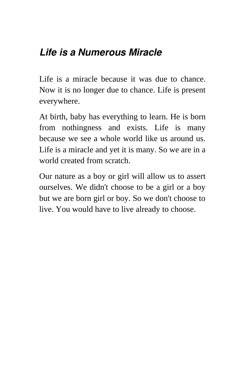#### *Life is a Numerous Miracle*

Life is a miracle because it was due to chance. Now it is no longer due to chance. Life is present everywhere.

At birth, baby has everything to learn. He is born from nothingness and exists. Life is many because we see a whole world like us around us. Life is a miracle and yet it is many. So we are in a world created from scratch.

Our nature as a boy or girl will allow us to assert ourselves. We didn't choose to be a girl or a boy but we are born girl or boy. So we don't choose to live. You would have to live already to choose.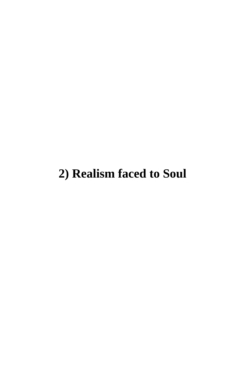# <span id="page-29-0"></span>**2) Realism faced to Soul**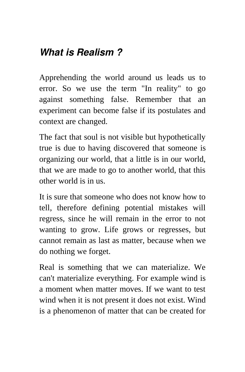#### *What is Realism ?*

Apprehending the world around us leads us to error. So we use the term "In reality" to go against something false. Remember that an experiment can become false if its postulates and context are changed.

The fact that soul is not visible but hypothetically true is due to having discovered that someone is organizing our world, that a little is in our world, that we are made to go to another world, that this other world is in us.

It is sure that someone who does not know how to tell, therefore defining potential mistakes will regress, since he will remain in the error to not wanting to grow. Life grows or regresses, but cannot remain as last as matter, because when we do nothing we forget.

Real is something that we can materialize. We can't materialize everything. For example wind is a moment when matter moves. If we want to test wind when it is not present it does not exist. Wind is a phenomenon of matter that can be created for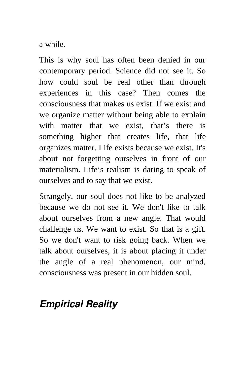a while.

This is why soul has often been denied in our contemporary period. Science did not see it. So how could soul be real other than through experiences in this case? Then comes the consciousness that makes us exist. If we exist and we organize matter without being able to explain with matter that we exist, that's there is something higher that creates life, that life organizes matter. Life exists because we exist. It's about not forgetting ourselves in front of our materialism. Life's realism is daring to speak of ourselves and to say that we exist.

Strangely, our soul does not like to be analyzed because we do not see it. We don't like to talk about ourselves from a new angle. That would challenge us. We want to exist. So that is a gift. So we don't want to risk going back. When we talk about ourselves, it is about placing it under the angle of a real phenomenon, our mind, consciousness was present in our hidden soul.

## *Empirical Reality*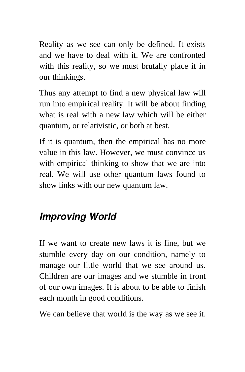Reality as we see can only be defined. It exists and we have to deal with it. We are confronted with this reality, so we must brutally place it in our thinkings.

Thus any attempt to find a new physical law will run into empirical reality. It will be about finding what is real with a new law which will be either quantum, or relativistic, or both at best.

If it is quantum, then the empirical has no more value in this law. However, we must convince us with empirical thinking to show that we are into real. We will use other quantum laws found to show links with our new quantum law.

### *Improving World*

If we want to create new laws it is fine, but we stumble every day on our condition, namely to manage our little world that we see around us. Children are our images and we stumble in front of our own images. It is about to be able to finish each month in good conditions.

We can believe that world is the way as we see it.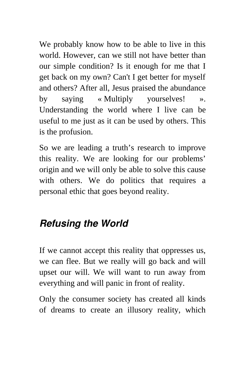We probably know how to be able to live in this world. However, can we still not have better than our simple condition? Is it enough for me that I get back on my own? Can't I get better for myself and others? After all, Jesus praised the abundance by saying « Multiply yourselves! ». Understanding the world where I live can be useful to me just as it can be used by others. This is the profusion.

So we are leading a truth's research to improve this reality. We are looking for our problems' origin and we will only be able to solve this cause with others. We do politics that requires a personal ethic that goes beyond reality.

## *Refusing the World*

If we cannot accept this reality that oppresses us, we can flee. But we really will go back and will upset our will. We will want to run away from everything and will panic in front of reality.

Only the consumer society has created all kinds of dreams to create an illusory reality, which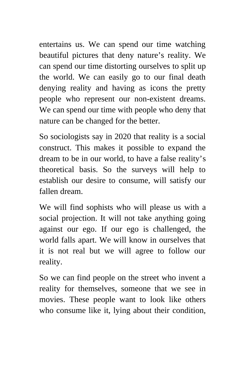entertains us. We can spend our time watching beautiful pictures that deny nature's reality. We can spend our time distorting ourselves to split up the world. We can easily go to our final death denying reality and having as icons the pretty people who represent our non-existent dreams. We can spend our time with people who deny that nature can be changed for the better.

So sociologists say in 2020 that reality is a social construct. This makes it possible to expand the dream to be in our world, to have a false reality's theoretical basis. So the surveys will help to establish our desire to consume, will satisfy our fallen dream.

We will find sophists who will please us with a social projection. It will not take anything going against our ego. If our ego is challenged, the world falls apart. We will know in ourselves that it is not real but we will agree to follow our reality.

So we can find people on the street who invent a reality for themselves, someone that we see in movies. These people want to look like others who consume like it, lying about their condition,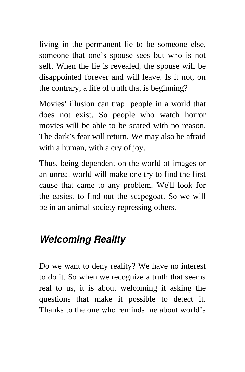living in the permanent lie to be someone else, someone that one's spouse sees but who is not self. When the lie is revealed, the spouse will be disappointed forever and will leave. Is it not, on the contrary, a life of truth that is beginning?

Movies' illusion can trap people in a world that does not exist. So people who watch horror movies will be able to be scared with no reason. The dark's fear will return. We may also be afraid with a human, with a cry of joy.

Thus, being dependent on the world of images or an unreal world will make one try to find the first cause that came to any problem. We'll look for the easiest to find out the scapegoat. So we will be in an animal society repressing others.

#### *Welcoming Reality*

Do we want to deny reality? We have no interest to do it. So when we recognize a truth that seems real to us, it is about welcoming it asking the questions that make it possible to detect it. Thanks to the one who reminds me about world's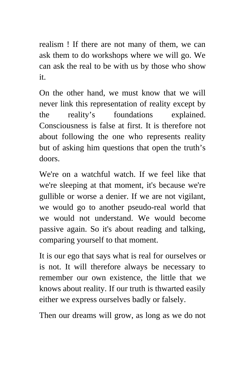realism ! If there are not many of them, we can ask them to do workshops where we will go. We can ask the real to be with us by those who show it.

On the other hand, we must know that we will never link this representation of reality except by the reality's foundations explained. Consciousness is false at first. It is therefore not about following the one who represents reality but of asking him questions that open the truth's doors.

We're on a watchful watch. If we feel like that we're sleeping at that moment, it's because we're gullible or worse a denier. If we are not vigilant, we would go to another pseudo-real world that we would not understand. We would become passive again. So it's about reading and talking, comparing yourself to that moment.

It is our ego that says what is real for ourselves or is not. It will therefore always be necessary to remember our own existence, the little that we knows about reality. If our truth is thwarted easily either we express ourselves badly or falsely.

Then our dreams will grow, as long as we do not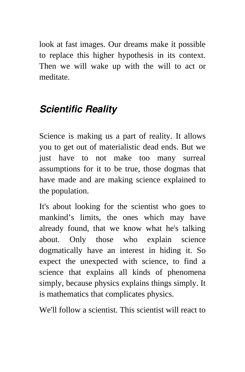look at fast images. Our dreams make it possible to replace this higher hypothesis in its context. Then we will wake up with the will to act or meditate.

## *Scientific Reality*

Science is making us a part of reality. It allows you to get out of materialistic dead ends. But we just have to not make too many surreal assumptions for it to be true, those dogmas that have made and are making science explained to the population.

It's about looking for the scientist who goes to mankind's limits, the ones which may have already found, that we know what he's talking about. Only those who explain science dogmatically have an interest in hiding it. So expect the unexpected with science, to find a science that explains all kinds of phenomena simply, because physics explains things simply. It is mathematics that complicates physics.

We'll follow a scientist. This scientist will react to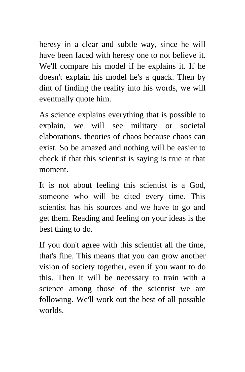heresy in a clear and subtle way, since he will have been faced with heresy one to not believe it. We'll compare his model if he explains it. If he doesn't explain his model he's a quack. Then by dint of finding the reality into his words, we will eventually quote him.

As science explains everything that is possible to explain, we will see military or societal elaborations, theories of chaos because chaos can exist. So be amazed and nothing will be easier to check if that this scientist is saying is true at that moment.

It is not about feeling this scientist is a God, someone who will be cited every time. This scientist has his sources and we have to go and get them. Reading and feeling on your ideas is the best thing to do.

If you don't agree with this scientist all the time, that's fine. This means that you can grow another vision of society together, even if you want to do this. Then it will be necessary to train with a science among those of the scientist we are following. We'll work out the best of all possible worlds.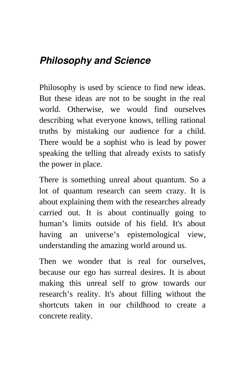## *Philosophy and Science*

Philosophy is used by science to find new ideas. But these ideas are not to be sought in the real world. Otherwise, we would find ourselves describing what everyone knows, telling rational truths by mistaking our audience for a child. There would be a sophist who is lead by power speaking the telling that already exists to satisfy the power in place.

There is something unreal about quantum. So a lot of quantum research can seem crazy. It is about explaining them with the researches already carried out. It is about continually going to human's limits outside of his field. It's about having an universe's epistemological view, understanding the amazing world around us.

Then we wonder that is real for ourselves, because our ego has surreal desires. It is about making this unreal self to grow towards our research's reality. It's about filling without the shortcuts taken in our childhood to create a concrete reality.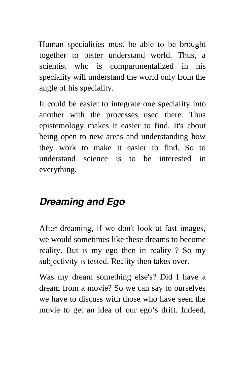Human specialities must be able to be brought together to better understand world. Thus, a scientist who is compartmentalized in his speciality will understand the world only from the angle of his speciality.

It could be easier to integrate one speciality into another with the processes used there. Thus epistemology makes it easier to find. It's about being open to new areas and understanding how they work to make it easier to find. So to understand science is to be interested in everything.

## *Dreaming and Ego*

After dreaming, if we don't look at fast images, we would sometimes like these dreams to become reality. But is my ego then in reality ? So my subjectivity is tested. Reality then takes over.

Was my dream something else's? Did I have a dream from a movie? So we can say to ourselves we have to discuss with those who have seen the movie to get an idea of our ego's drift. Indeed,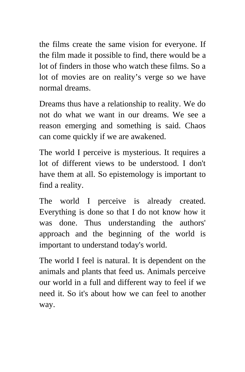the films create the same vision for everyone. If the film made it possible to find, there would be a lot of finders in those who watch these films. So a lot of movies are on reality's verge so we have normal dreams.

Dreams thus have a relationship to reality. We do not do what we want in our dreams. We see a reason emerging and something is said. Chaos can come quickly if we are awakened.

The world I perceive is mysterious. It requires a lot of different views to be understood. I don't have them at all. So epistemology is important to find a reality.

The world I perceive is already created. Everything is done so that I do not know how it was done. Thus understanding the authors' approach and the beginning of the world is important to understand today's world.

The world I feel is natural. It is dependent on the animals and plants that feed us. Animals perceive our world in a full and different way to feel if we need it. So it's about how we can feel to another way.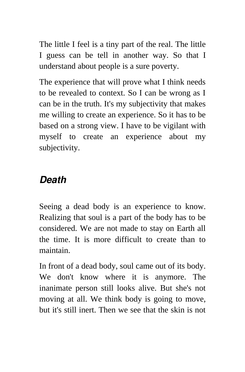The little I feel is a tiny part of the real. The little I guess can be tell in another way. So that I understand about people is a sure poverty.

The experience that will prove what I think needs to be revealed to context. So I can be wrong as I can be in the truth. It's my subjectivity that makes me willing to create an experience. So it has to be based on a strong view. I have to be vigilant with myself to create an experience about my subjectivity.

## *Death*

Seeing a dead body is an experience to know. Realizing that soul is a part of the body has to be considered. We are not made to stay on Earth all the time. It is more difficult to create than to maintain.

In front of a dead body, soul came out of its body. We don't know where it is anymore. The inanimate person still looks alive. But she's not moving at all. We think body is going to move, but it's still inert. Then we see that the skin is not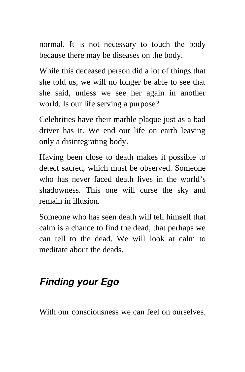normal. It is not necessary to touch the body because there may be diseases on the body.

While this deceased person did a lot of things that she told us, we will no longer be able to see that she said, unless we see her again in another world. Is our life serving a purpose?

Celebrities have their marble plaque just as a bad driver has it. We end our life on earth leaving only a disintegrating body.

Having been close to death makes it possible to detect sacred, which must be observed. Someone who has never faced death lives in the world's shadowness. This one will curse the sky and remain in illusion.

Someone who has seen death will tell himself that calm is a chance to find the dead, that perhaps we can tell to the dead. We will look at calm to meditate about the deads.

## *Finding your Ego*

With our consciousness we can feel on ourselves.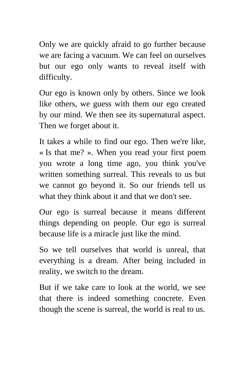Only we are quickly afraid to go further because we are facing a vacuum. We can feel on ourselves but our ego only wants to reveal itself with difficulty.

Our ego is known only by others. Since we look like others, we guess with them our ego created by our mind. We then see its supernatural aspect. Then we forget about it.

It takes a while to find our ego. Then we're like, « Is that me? ». When you read your first poem you wrote a long time ago, you think you've written something surreal. This reveals to us but we cannot go beyond it. So our friends tell us what they think about it and that we don't see.

Our ego is surreal because it means different things depending on people. Our ego is surreal because life is a miracle just like the mind.

So we tell ourselves that world is unreal, that everything is a dream. After being included in reality, we switch to the dream.

But if we take care to look at the world, we see that there is indeed something concrete. Even though the scene is surreal, the world is real to us.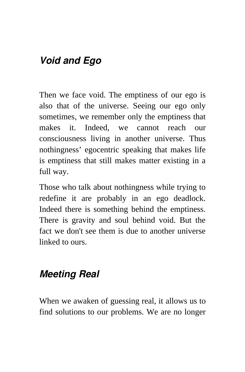## *Void and Ego*

Then we face void. The emptiness of our ego is also that of the universe. Seeing our ego only sometimes, we remember only the emptiness that makes it. Indeed, we cannot reach our consciousness living in another universe. Thus nothingness' egocentric speaking that makes life is emptiness that still makes matter existing in a full way.

Those who talk about nothingness while trying to redefine it are probably in an ego deadlock. Indeed there is something behind the emptiness. There is gravity and soul behind void. But the fact we don't see them is due to another universe linked to ours.

#### *Meeting Real*

When we awaken of guessing real, it allows us to find solutions to our problems. We are no longer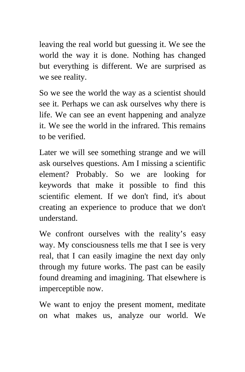leaving the real world but guessing it. We see the world the way it is done. Nothing has changed but everything is different. We are surprised as we see reality.

So we see the world the way as a scientist should see it. Perhaps we can ask ourselves why there is life. We can see an event happening and analyze it. We see the world in the infrared. This remains to be verified.

Later we will see something strange and we will ask ourselves questions. Am I missing a scientific element? Probably. So we are looking for keywords that make it possible to find this scientific element. If we don't find, it's about creating an experience to produce that we don't understand.

We confront ourselves with the reality's easy way. My consciousness tells me that I see is very real, that I can easily imagine the next day only through my future works. The past can be easily found dreaming and imagining. That elsewhere is imperceptible now.

We want to enjoy the present moment, meditate on what makes us, analyze our world. We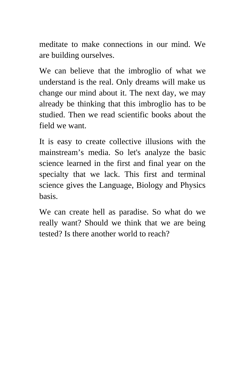meditate to make connections in our mind. We are building ourselves.

We can believe that the imbroglio of what we understand is the real. Only dreams will make us change our mind about it. The next day, we may already be thinking that this imbroglio has to be studied. Then we read scientific books about the field we want.

It is easy to create collective illusions with the mainstream's media. So let's analyze the basic science learned in the first and final year on the specialty that we lack. This first and terminal science gives the Language, Biology and Physics basis.

We can create hell as paradise. So what do we really want? Should we think that we are being tested? Is there another world to reach?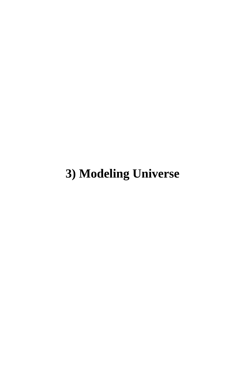## **3) Modeling Universe**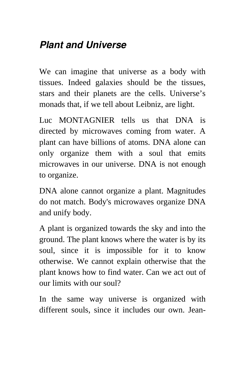## *Plant and Universe*

We can imagine that universe as a body with tissues. Indeed galaxies should be the tissues, stars and their planets are the cells. Universe's monads that, if we tell about Leibniz, are light.

Luc MONTAGNIER tells us that DNA is directed by microwaves coming from water. A plant can have billions of atoms. DNA alone can only organize them with a soul that emits microwaves in our universe. DNA is not enough to organize.

DNA alone cannot organize a plant. Magnitudes do not match. Body's microwaves organize DNA and unify body.

A plant is organized towards the sky and into the ground. The plant knows where the water is by its soul, since it is impossible for it to know otherwise. We cannot explain otherwise that the plant knows how to find water. Can we act out of our limits with our soul?

In the same way universe is organized with different souls, since it includes our own. Jean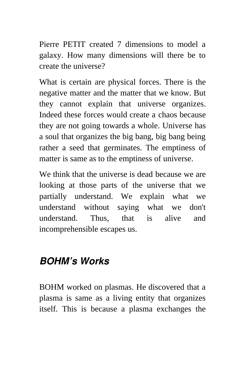Pierre PETIT created 7 dimensions to model a galaxy. How many dimensions will there be to create the universe?

What is certain are physical forces. There is the negative matter and the matter that we know. But they cannot explain that universe organizes. Indeed these forces would create a chaos because they are not going towards a whole. Universe has a soul that organizes the big bang, big bang being rather a seed that germinates. The emptiness of matter is same as to the emptiness of universe.

We think that the universe is dead because we are looking at those parts of the universe that we partially understand. We explain what we understand without saying what we don't understand. Thus, that is alive and incomprehensible escapes us.

#### *BOHM's Works*

BOHM worked on plasmas. He discovered that a plasma is same as a living entity that organizes itself. This is because a plasma exchanges the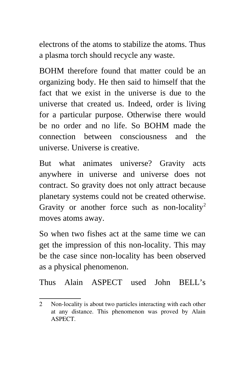electrons of the atoms to stabilize the atoms. Thus a plasma torch should recycle any waste.

BOHM therefore found that matter could be an organizing body. He then said to himself that the fact that we exist in the universe is due to the universe that created us. Indeed, order is living for a particular purpose. Otherwise there would be no order and no life. So BOHM made the connection between consciousness and the universe. Universe is creative.

But what animates universe? Gravity acts anywhere in universe and universe does not contract. So gravity does not only attract because planetary systems could not be created otherwise. Gravity or another force such as non-locality<sup>[2](#page-51-0)</sup> moves atoms away.

So when two fishes act at the same time we can get the impression of this non-locality. This may be the case since non-locality has been observed as a physical phenomenon.

Thus Alain ASPECT used John BELL's

<span id="page-51-0"></span><sup>2</sup> Non-locality is about two particles interacting with each other at any distance. This phenomenon was proved by Alain ASPECT.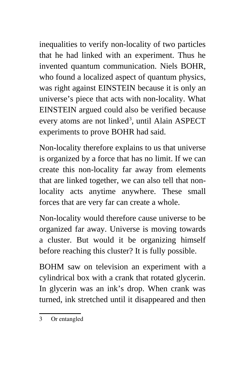inequalities to verify non-locality of two particles that he had linked with an experiment. Thus he invented quantum communication. Niels BOHR, who found a localized aspect of quantum physics, was right against EINSTEIN because it is only an universe's piece that acts with non-locality. What EINSTEIN argued could also be verified because every atoms are not linked<sup>[3](#page-52-0)</sup>, until Alain ASPECT experiments to prove BOHR had said.

Non-locality therefore explains to us that universe is organized by a force that has no limit. If we can create this non-locality far away from elements that are linked together, we can also tell that nonlocality acts anytime anywhere. These small forces that are very far can create a whole.

Non-locality would therefore cause universe to be organized far away. Universe is moving towards a cluster. But would it be organizing himself before reaching this cluster? It is fully possible.

BOHM saw on television an experiment with a cylindrical box with a crank that rotated glycerin. In glycerin was an ink's drop. When crank was turned, ink stretched until it disappeared and then

<span id="page-52-0"></span><sup>3</sup> Or entangled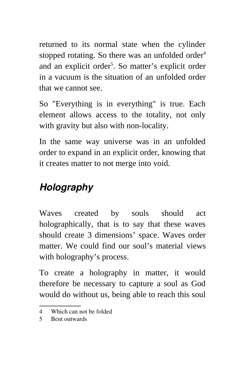returned to its normal state when the cylinder stopped rotating. So there was an unfolded order $4$ and an explicit order<sup>[5](#page-53-1)</sup>. So matter's explicit order in a vacuum is the situation of an unfolded order that we cannot see.

So "Everything is in everything" is true. Each element allows access to the totality, not only with gravity but also with non-locality.

In the same way universe was in an unfolded order to expand in an explicit order, knowing that it creates matter to not merge into void.

## *Holography*

Waves created by souls should act holographically, that is to say that these waves should create 3 dimensions' space. Waves order matter. We could find our soul's material views with holography's process.

To create a holography in matter, it would therefore be necessary to capture a soul as God would do without us, being able to reach this soul

<span id="page-53-0"></span><sup>4</sup> Which can not be folded

<span id="page-53-1"></span><sup>5</sup> Bent outwards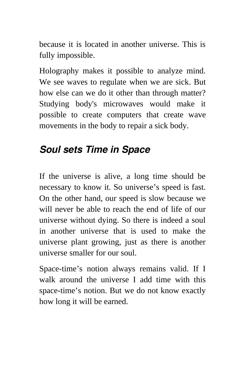because it is located in another universe. This is fully impossible.

Holography makes it possible to analyze mind. We see waves to regulate when we are sick. But how else can we do it other than through matter? Studying body's microwaves would make it possible to create computers that create wave movements in the body to repair a sick body.

## *Soul sets Time in Space*

If the universe is alive, a long time should be necessary to know it. So universe's speed is fast. On the other hand, our speed is slow because we will never be able to reach the end of life of our universe without dying. So there is indeed a soul in another universe that is used to make the universe plant growing, just as there is another universe smaller for our soul.

Space-time's notion always remains valid. If I walk around the universe I add time with this space-time's notion. But we do not know exactly how long it will be earned.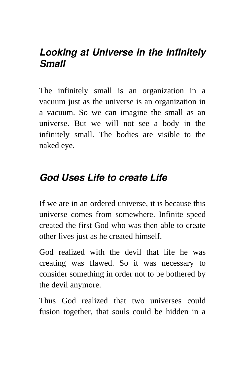#### *Looking at Universe in the Infinitely Small*

The infinitely small is an organization in a vacuum just as the universe is an organization in a vacuum. So we can imagine the small as an universe. But we will not see a body in the infinitely small. The bodies are visible to the naked eye.

#### *God Uses Life to create Life*

If we are in an ordered universe, it is because this universe comes from somewhere. Infinite speed created the first God who was then able to create other lives just as he created himself.

God realized with the devil that life he was creating was flawed. So it was necessary to consider something in order not to be bothered by the devil anymore.

Thus God realized that two universes could fusion together, that souls could be hidden in a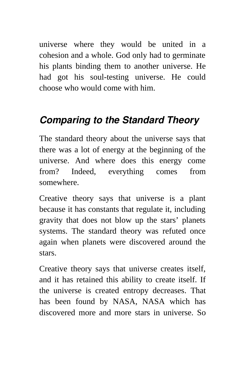universe where they would be united in a cohesion and a whole. God only had to germinate his plants binding them to another universe. He had got his soul-testing universe. He could choose who would come with him.

## *Comparing to the Standard Theory*

The standard theory about the universe says that there was a lot of energy at the beginning of the universe. And where does this energy come from? Indeed, everything comes from somewhere.

Creative theory says that universe is a plant because it has constants that regulate it, including gravity that does not blow up the stars' planets systems. The standard theory was refuted once again when planets were discovered around the stars.

Creative theory says that universe creates itself, and it has retained this ability to create itself. If the universe is created entropy decreases. That has been found by NASA, NASA which has discovered more and more stars in universe. So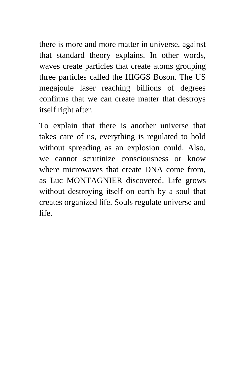there is more and more matter in universe, against that standard theory explains. In other words, waves create particles that create atoms grouping three particles called the HIGGS Boson. The US megajoule laser reaching billions of degrees confirms that we can create matter that destroys itself right after.

To explain that there is another universe that takes care of us, everything is regulated to hold without spreading as an explosion could. Also, we cannot scrutinize consciousness or know where microwaves that create DNA come from, as Luc MONTAGNIER discovered. Life grows without destroying itself on earth by a soul that creates organized life. Souls regulate universe and life.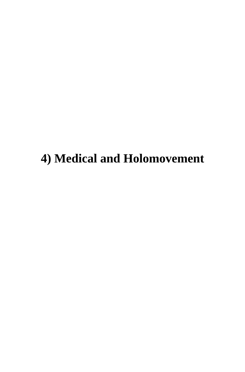## **4) Medical and Holomovement**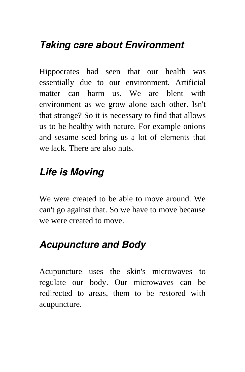## *Taking care about Environment*

Hippocrates had seen that our health was essentially due to our environment. Artificial matter can harm us. We are blent with environment as we grow alone each other. Isn't that strange? So it is necessary to find that allows us to be healthy with nature. For example onions and sesame seed bring us a lot of elements that we lack. There are also nuts.

#### *Life is Moving*

We were created to be able to move around. We can't go against that. So we have to move because we were created to move.

## *Acupuncture and Body*

Acupuncture uses the skin's microwaves to regulate our body. Our microwaves can be redirected to areas, them to be restored with acupuncture.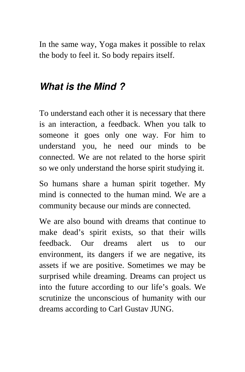In the same way, Yoga makes it possible to relax the body to feel it. So body repairs itself.

#### *What is the Mind ?*

To understand each other it is necessary that there is an interaction, a feedback. When you talk to someone it goes only one way. For him to understand you, he need our minds to be connected. We are not related to the horse spirit so we only understand the horse spirit studying it.

So humans share a human spirit together. My mind is connected to the human mind. We are a community because our minds are connected.

We are also bound with dreams that continue to make dead's spirit exists, so that their wills feedback. Our dreams alert us to our environment, its dangers if we are negative, its assets if we are positive. Sometimes we may be surprised while dreaming. Dreams can project us into the future according to our life's goals. We scrutinize the unconscious of humanity with our dreams according to Carl Gustav JUNG.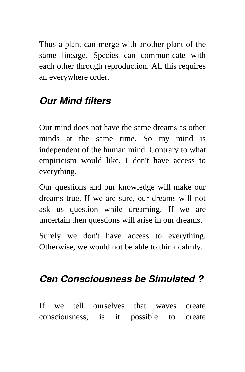Thus a plant can merge with another plant of the same lineage. Species can communicate with each other through reproduction. All this requires an everywhere order.

## *Our Mind filters*

Our mind does not have the same dreams as other minds at the same time. So my mind is independent of the human mind. Contrary to what empiricism would like, I don't have access to everything.

Our questions and our knowledge will make our dreams true. If we are sure, our dreams will not ask us question while dreaming. If we are uncertain then questions will arise in our dreams.

Surely we don't have access to everything. Otherwise, we would not be able to think calmly.

#### *Can Consciousness be Simulated ?*

If we tell ourselves that waves create consciousness, is it possible to create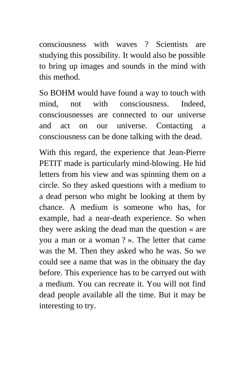consciousness with waves ? Scientists are studying this possibility. It would also be possible to bring up images and sounds in the mind with this method.

So BOHM would have found a way to touch with mind, not with consciousness. Indeed, consciousnesses are connected to our universe and act on our universe. Contacting a consciousness can be done talking with the dead.

With this regard, the experience that Jean-Pierre PETIT made is particularly mind-blowing. He hid letters from his view and was spinning them on a circle. So they asked questions with a medium to a dead person who might be looking at them by chance. A medium is someone who has, for example, had a near-death experience. So when they were asking the dead man the question « are you a man or a woman ? ». The letter that came was the M. Then they asked who he was. So we could see a name that was in the obituary the day before. This experience has to be carryed out with a medium. You can recreate it. You will not find dead people available all the time. But it may be interesting to try.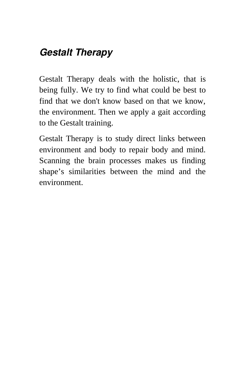## *Gestalt Therapy*

Gestalt Therapy deals with the holistic, that is being fully. We try to find what could be best to find that we don't know based on that we know, the environment. Then we apply a gait according to the Gestalt training.

Gestalt Therapy is to study direct links between environment and body to repair body and mind. Scanning the brain processes makes us finding shape's similarities between the mind and the environment.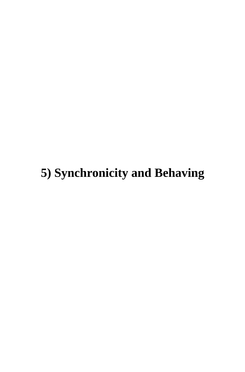# **5) Synchronicity and Behaving**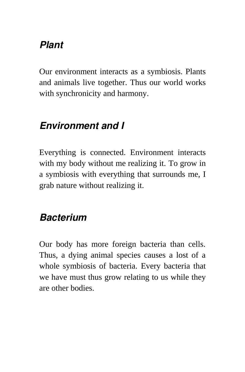## *Plant*

Our environment interacts as a symbiosis. Plants and animals live together. Thus our world works with synchronicity and harmony.

## *Environment and I*

Everything is connected. Environment interacts with my body without me realizing it. To grow in a symbiosis with everything that surrounds me, I grab nature without realizing it.

## *Bacterium*

Our body has more foreign bacteria than cells. Thus, a dying animal species causes a lost of a whole symbiosis of bacteria. Every bacteria that we have must thus grow relating to us while they are other bodies.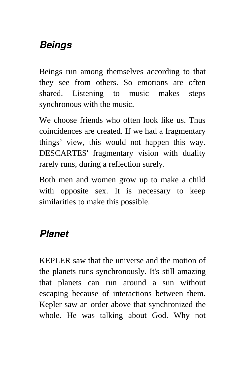## *Beings*

Beings run among themselves according to that they see from others. So emotions are often shared. Listening to music makes steps synchronous with the music.

We choose friends who often look like us. Thus coincidences are created. If we had a fragmentary things' view, this would not happen this way. DESCARTES' fragmentary vision with duality rarely runs, during a reflection surely.

Both men and women grow up to make a child with opposite sex. It is necessary to keep similarities to make this possible.

## *Planet*

KEPLER saw that the universe and the motion of the planets runs synchronously. It's still amazing that planets can run around a sun without escaping because of interactions between them. Kepler saw an order above that synchronized the whole. He was talking about God. Why not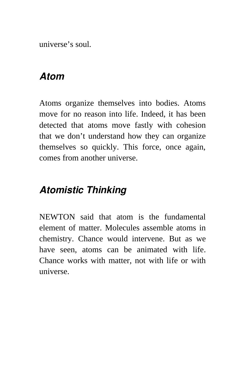universe's soul.

#### *Atom*

Atoms organize themselves into bodies. Atoms move for no reason into life. Indeed, it has been detected that atoms move fastly with cohesion that we don't understand how they can organize themselves so quickly. This force, once again, comes from another universe.

## *Atomistic Thinking*

NEWTON said that atom is the fundamental element of matter. Molecules assemble atoms in chemistry. Chance would intervene. But as we have seen, atoms can be animated with life. Chance works with matter, not with life or with universe.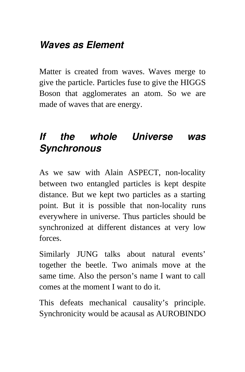## *Waves as Element*

Matter is created from waves. Waves merge to give the particle. Particles fuse to give the HIGGS Boson that agglomerates an atom. So we are made of waves that are energy.

## *If the whole Universe was Synchronous*

As we saw with Alain ASPECT, non-locality between two entangled particles is kept despite distance. But we kept two particles as a starting point. But it is possible that non-locality runs everywhere in universe. Thus particles should be synchronized at different distances at very low forces.

Similarly JUNG talks about natural events' together the beetle. Two animals move at the same time. Also the person's name I want to call comes at the moment I want to do it.

This defeats mechanical causality's principle. Synchronicity would be acausal as AUROBINDO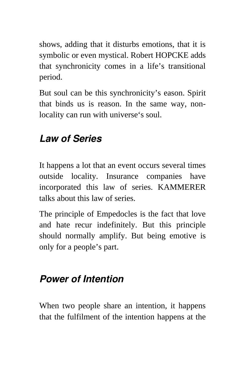shows, adding that it disturbs emotions, that it is symbolic or even mystical. Robert HOPCKE adds that synchronicity comes in a life's transitional period.

But soul can be this synchronicity's eason. Spirit that binds us is reason. In the same way, nonlocality can run with universe's soul.

## *Law of Series*

It happens a lot that an event occurs several times outside locality. Insurance companies have incorporated this law of series. KAMMERER talks about this law of series.

The principle of Empedocles is the fact that love and hate recur indefinitely. But this principle should normally amplify. But being emotive is only for a people's part.

## *Power of Intention*

When two people share an intention, it happens that the fulfilment of the intention happens at the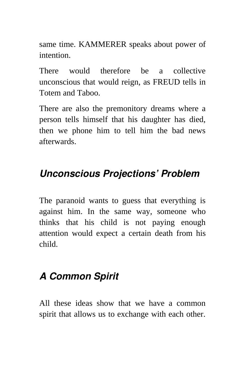same time. KAMMERER speaks about power of intention.

There would therefore be a collective unconscious that would reign, as FREUD tells in Totem and Taboo.

There are also the premonitory dreams where a person tells himself that his daughter has died, then we phone him to tell him the bad news afterwards.

## *Unconscious Projections' Problem*

The paranoid wants to guess that everything is against him. In the same way, someone who thinks that his child is not paying enough attention would expect a certain death from his child.

## *A Common Spirit*

All these ideas show that we have a common spirit that allows us to exchange with each other.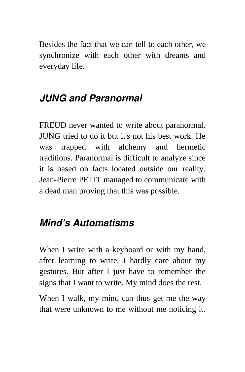Besides the fact that we can tell to each other, we synchronize with each other with dreams and everyday life.

## *JUNG and Paranormal*

FREUD never wanted to write about paranormal. JUNG tried to do it but it's not his best work. He was trapped with alchemy and hermetic traditions. Paranormal is difficult to analyze since it is based on facts located outside our reality. Jean-Pierre PETIT managed to communicate with a dead man proving that this was possible.

#### *Mind's Automatisms*

When I write with a keyboard or with my hand, after learning to write, I hardly care about my gestures. But after I just have to remember the signs that I want to write. My mind does the rest.

When I walk, my mind can thus get me the way that were unknown to me without me noticing it.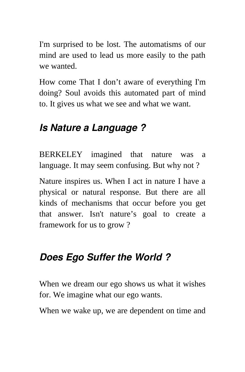I'm surprised to be lost. The automatisms of our mind are used to lead us more easily to the path we wanted.

How come That I don't aware of everything I'm doing? Soul avoids this automated part of mind to. It gives us what we see and what we want.

### *Is Nature a Language ?*

BERKELEY imagined that nature was a language. It may seem confusing. But why not ?

Nature inspires us. When I act in nature I have a physical or natural response. But there are all kinds of mechanisms that occur before you get that answer. Isn't nature's goal to create a framework for us to grow ?

## *Does Ego Suffer the World ?*

When we dream our ego shows us what it wishes for. We imagine what our ego wants.

When we wake up, we are dependent on time and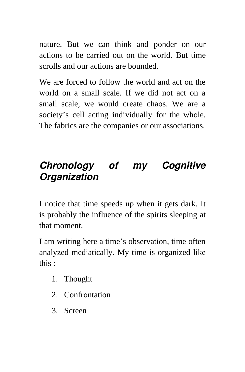nature. But we can think and ponder on our actions to be carried out on the world. But time scrolls and our actions are bounded.

We are forced to follow the world and act on the world on a small scale. If we did not act on a small scale, we would create chaos. We are a society's cell acting individually for the whole. The fabrics are the companies or our associations.

# *Chronology of my Cognitive Organization*

I notice that time speeds up when it gets dark. It is probably the influence of the spirits sleeping at that moment.

I am writing here a time's observation, time often analyzed mediatically. My time is organized like this :

- 1. Thought
- 2. Confrontation
- 3. Screen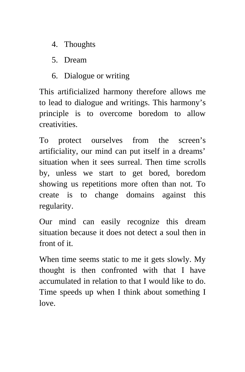- 4. Thoughts
- 5. Dream
- 6. Dialogue or writing

This artificialized harmony therefore allows me to lead to dialogue and writings. This harmony's principle is to overcome boredom to allow creativities.

To protect ourselves from the screen's artificiality, our mind can put itself in a dreams' situation when it sees surreal. Then time scrolls by, unless we start to get bored, boredom showing us repetitions more often than not. To create is to change domains against this regularity.

Our mind can easily recognize this dream situation because it does not detect a soul then in front of it.

When time seems static to me it gets slowly. My thought is then confronted with that I have accumulated in relation to that I would like to do. Time speeds up when I think about something I love.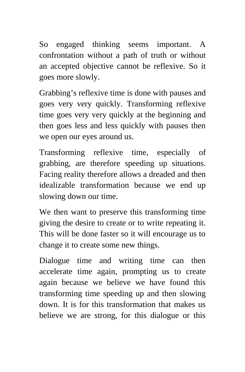So engaged thinking seems important. A confrontation without a path of truth or without an accepted objective cannot be reflexive. So it goes more slowly.

Grabbing's reflexive time is done with pauses and goes very very quickly. Transforming reflexive time goes very very quickly at the beginning and then goes less and less quickly with pauses then we open our eyes around us.

Transforming reflexive time, especially of grabbing, are therefore speeding up situations. Facing reality therefore allows a dreaded and then idealizable transformation because we end up slowing down our time.

We then want to preserve this transforming time giving the desire to create or to write repeating it. This will be done faster so it will encourage us to change it to create some new things.

Dialogue time and writing time can then accelerate time again, prompting us to create again because we believe we have found this transforming time speeding up and then slowing down. It is for this transformation that makes us believe we are strong, for this dialogue or this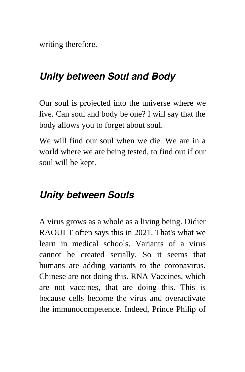writing therefore.

## *Unity between Soul and Body*

Our soul is projected into the universe where we live. Can soul and body be one? I will say that the body allows you to forget about soul.

We will find our soul when we die. We are in a world where we are being tested, to find out if our soul will be kept.

#### *Unity between Souls*

A virus grows as a whole as a living being. Didier RAOULT often says this in 2021. That's what we learn in medical schools. Variants of a virus cannot be created serially. So it seems that humans are adding variants to the coronavirus. Chinese are not doing this. RNA Vaccines, which are not vaccines, that are doing this. This is because cells become the virus and overactivate the immunocompetence. Indeed, Prince Philip of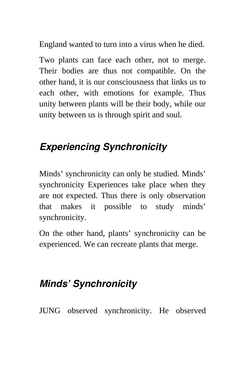England wanted to turn into a virus when he died.

Two plants can face each other, not to merge. Their bodies are thus not compatible. On the other hand, it is our consciousness that links us to each other, with emotions for example. Thus unity between plants will be their body, while our unity between us is through spirit and soul.

## *Experiencing Synchronicity*

Minds' synchronicity can only be studied. Minds' synchronicity Experiences take place when they are not expected. Thus there is only observation that makes it possible to study minds' synchronicity.

On the other hand, plants' synchronicity can be experienced. We can recreate plants that merge.

## *Minds' Synchronicity*

JUNG observed synchronicity. He observed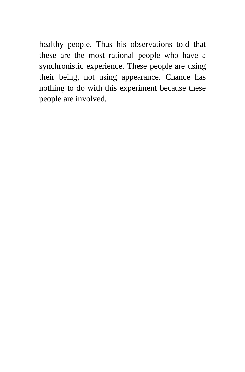healthy people. Thus his observations told that these are the most rational people who have a synchronistic experience. These people are using their being, not using appearance. Chance has nothing to do with this experiment because these people are involved.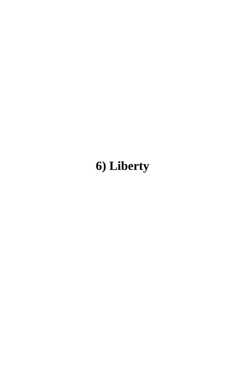# **6) Liberty**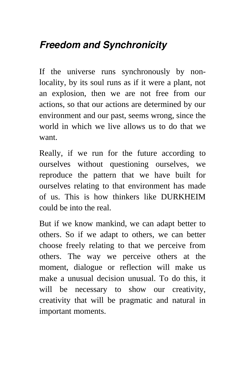# *Freedom and Synchronicity*

If the universe runs synchronously by nonlocality, by its soul runs as if it were a plant, not an explosion, then we are not free from our actions, so that our actions are determined by our environment and our past, seems wrong, since the world in which we live allows us to do that we want.

Really, if we run for the future according to ourselves without questioning ourselves, we reproduce the pattern that we have built for ourselves relating to that environment has made of us. This is how thinkers like DURKHEIM could be into the real.

But if we know mankind, we can adapt better to others. So if we adapt to others, we can better choose freely relating to that we perceive from others. The way we perceive others at the moment, dialogue or reflection will make us make a unusual decision unusual. To do this, it will be necessary to show our creativity, creativity that will be pragmatic and natural in important moments.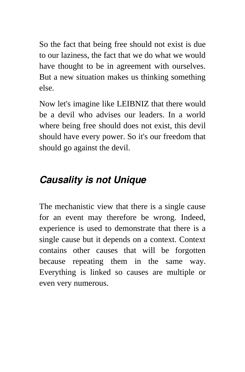So the fact that being free should not exist is due to our laziness, the fact that we do what we would have thought to be in agreement with ourselves. But a new situation makes us thinking something else.

Now let's imagine like LEIBNIZ that there would be a devil who advises our leaders. In a world where being free should does not exist, this devil should have every power. So it's our freedom that should go against the devil.

# *Causality is not Unique*

The mechanistic view that there is a single cause for an event may therefore be wrong. Indeed, experience is used to demonstrate that there is a single cause but it depends on a context. Context contains other causes that will be forgotten because repeating them in the same way. Everything is linked so causes are multiple or even very numerous.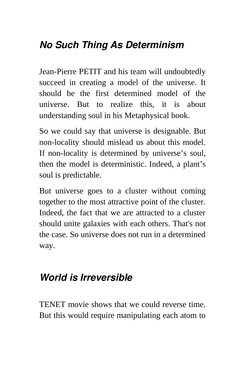# *No Such Thing As Determinism*

Jean-Pierre PETIT and his team will undoubtedly succeed in creating a model of the universe. It should be the first determined model of the universe. But to realize this, it is about understanding soul in his Metaphysical book.

So we could say that universe is designable. But non-locality should mislead us about this model. If non-locality is determined by universe's soul, then the model is deterministic. Indeed, a plant's soul is predictable.

But universe goes to a cluster without coming together to the most attractive point of the cluster. Indeed, the fact that we are attracted to a cluster should unite galaxies with each others. That's not the case. So universe does not run in a determined way.

## *World is Irreversible*

TENET movie shows that we could reverse time. But this would require manipulating each atom to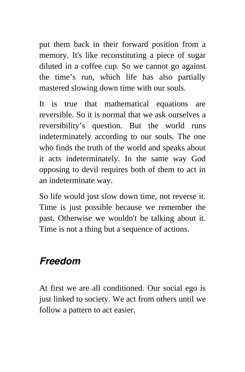put them back in their forward position from a memory. It's like reconstituting a piece of sugar diluted in a coffee cup. So we cannot go against the time's run, which life has also partially mastered slowing down time with our souls.

It is true that mathematical equations are reversible. So it is normal that we ask ourselves a reversibility's question. But the world runs indeterminately according to our souls. The one who finds the truth of the world and speaks about it acts indeterminately. In the same way God opposing to devil requires both of them to act in an indeterminate way.

So life would just slow down time, not reverse it. Time is just possible because we remember the past. Otherwise we wouldn't be talking about it. Time is not a thing but a sequence of actions.

#### *Freedom*

At first we are all conditioned. Our social ego is just linked to society. We act from others until we follow a pattern to act easier.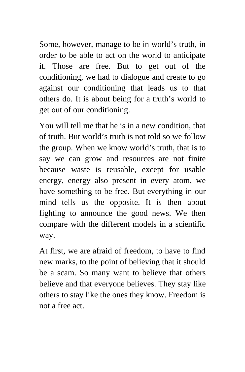Some, however, manage to be in world's truth, in order to be able to act on the world to anticipate it. Those are free. But to get out of the conditioning, we had to dialogue and create to go against our conditioning that leads us to that others do. It is about being for a truth's world to get out of our conditioning.

You will tell me that he is in a new condition, that of truth. But world's truth is not told so we follow the group. When we know world's truth, that is to say we can grow and resources are not finite because waste is reusable, except for usable energy, energy also present in every atom, we have something to be free. But everything in our mind tells us the opposite. It is then about fighting to announce the good news. We then compare with the different models in a scientific way.

At first, we are afraid of freedom, to have to find new marks, to the point of believing that it should be a scam. So many want to believe that others believe and that everyone believes. They stay like others to stay like the ones they know. Freedom is not a free act.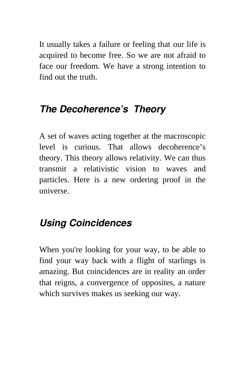It usually takes a failure or feeling that our life is acquired to become free. So we are not afraid to face our freedom. We have a strong intention to find out the truth.

## *The Decoherence's Theory*

A set of waves acting together at the macroscopic level is curious. That allows decoherence's theory. This theory allows relativity. We can thus transmit a relativistic vision to waves and particles. Here is a new ordering proof in the universe.

# *Using Coincidences*

When you're looking for your way, to be able to find your way back with a flight of starlings is amazing. But coincidences are in reality an order that reigns, a convergence of opposites, a nature which survives makes us seeking our way.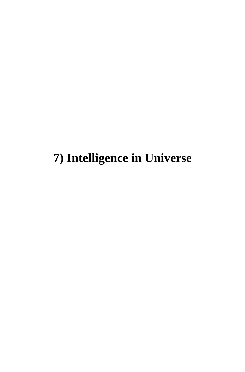# **7) Intelligence in Universe**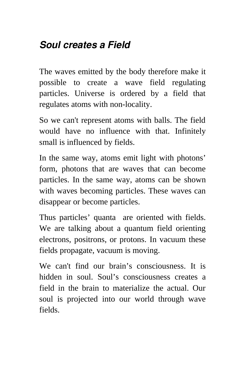# *Soul creates a Field*

The waves emitted by the body therefore make it possible to create a wave field regulating particles. Universe is ordered by a field that regulates atoms with non-locality.

So we can't represent atoms with balls. The field would have no influence with that. Infinitely small is influenced by fields.

In the same way, atoms emit light with photons' form, photons that are waves that can become particles. In the same way, atoms can be shown with waves becoming particles. These waves can disappear or become particles.

Thus particles' quanta are oriented with fields. We are talking about a quantum field orienting electrons, positrons, or protons. In vacuum these fields propagate, vacuum is moving.

We can't find our brain's consciousness. It is hidden in soul. Soul's consciousness creates a field in the brain to materialize the actual. Our soul is projected into our world through wave fields.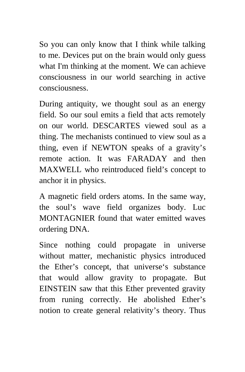So you can only know that I think while talking to me. Devices put on the brain would only guess what I'm thinking at the moment. We can achieve consciousness in our world searching in active consciousness.

During antiquity, we thought soul as an energy field. So our soul emits a field that acts remotely on our world. DESCARTES viewed soul as a thing. The mechanists continued to view soul as a thing, even if NEWTON speaks of a gravity's remote action. It was FARADAY and then MAXWELL who reintroduced field's concept to anchor it in physics.

A magnetic field orders atoms. In the same way, the soul's wave field organizes body. Luc MONTAGNIER found that water emitted waves ordering DNA.

Since nothing could propagate in universe without matter, mechanistic physics introduced the Ether's concept, that universe's substance that would allow gravity to propagate. But EINSTEIN saw that this Ether prevented gravity from runing correctly. He abolished Ether's notion to create general relativity's theory. Thus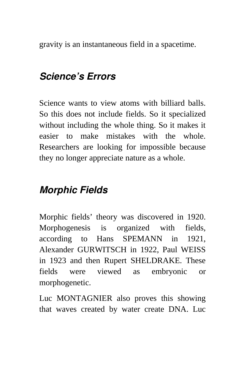gravity is an instantaneous field in a spacetime.

# *Science's Errors*

Science wants to view atoms with billiard balls. So this does not include fields. So it specialized without including the whole thing. So it makes it easier to make mistakes with the whole. Researchers are looking for impossible because they no longer appreciate nature as a whole.

# *Morphic Fields*

Morphic fields' theory was discovered in 1920. Morphogenesis is organized with fields, according to Hans SPEMANN in 1921, Alexander GURWITSCH in 1922, Paul WEISS in 1923 and then Rupert SHELDRAKE. These fields were viewed as embryonic or morphogenetic.

Luc MONTAGNIER also proves this showing that waves created by water create DNA. Luc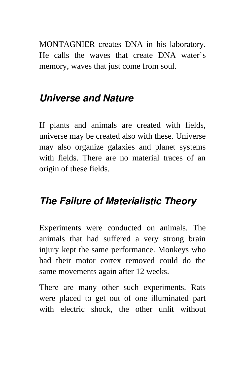MONTAGNIER creates DNA in his laboratory. He calls the waves that create DNA water's memory, waves that just come from soul.

### *Universe and Nature*

If plants and animals are created with fields, universe may be created also with these. Universe may also organize galaxies and planet systems with fields. There are no material traces of an origin of these fields.

#### *The Failure of Materialistic Theory*

Experiments were conducted on animals. The animals that had suffered a very strong brain injury kept the same performance. Monkeys who had their motor cortex removed could do the same movements again after 12 weeks.

There are many other such experiments. Rats were placed to get out of one illuminated part with electric shock, the other unlit without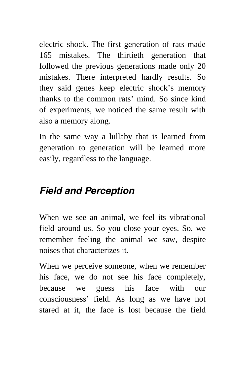electric shock. The first generation of rats made 165 mistakes. The thirtieth generation that followed the previous generations made only 20 mistakes. There interpreted hardly results. So they said genes keep electric shock's memory thanks to the common rats' mind. So since kind of experiments, we noticed the same result with also a memory along.

In the same way a lullaby that is learned from generation to generation will be learned more easily, regardless to the language.

## *Field and Perception*

When we see an animal, we feel its vibrational field around us. So you close your eyes. So, we remember feeling the animal we saw, despite noises that characterizes it.

When we perceive someone, when we remember his face, we do not see his face completely, because we guess his face with our consciousness' field. As long as we have not stared at it, the face is lost because the field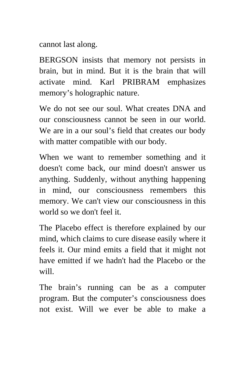cannot last along.

BERGSON insists that memory not persists in brain, but in mind. But it is the brain that will activate mind. Karl PRIBRAM emphasizes memory's holographic nature.

We do not see our soul. What creates DNA and our consciousness cannot be seen in our world. We are in a our soul's field that creates our body with matter compatible with our body.

When we want to remember something and it doesn't come back, our mind doesn't answer us anything. Suddenly, without anything happening in mind, our consciousness remembers this memory. We can't view our consciousness in this world so we don't feel it.

The Placebo effect is therefore explained by our mind, which claims to cure disease easily where it feels it. Our mind emits a field that it might not have emitted if we hadn't had the Placebo or the will.

The brain's running can be as a computer program. But the computer's consciousness does not exist. Will we ever be able to make a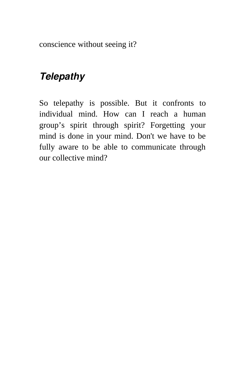conscience without seeing it?

# *Telepathy*

So telepathy is possible. But it confronts to individual mind. How can I reach a human group's spirit through spirit? Forgetting your mind is done in your mind. Don't we have to be fully aware to be able to communicate through our collective mind?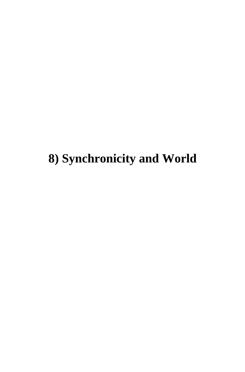**8) Synchronicity and World**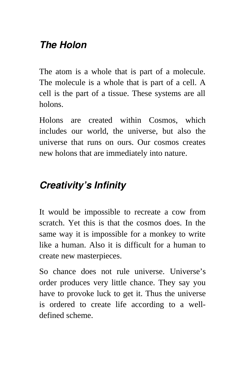## *The Holon*

The atom is a whole that is part of a molecule. The molecule is a whole that is part of a cell. A cell is the part of a tissue. These systems are all holons.

Holons are created within Cosmos, which includes our world, the universe, but also the universe that runs on ours. Our cosmos creates new holons that are immediately into nature.

## *Creativity's Infinity*

It would be impossible to recreate a cow from scratch. Yet this is that the cosmos does. In the same way it is impossible for a monkey to write like a human. Also it is difficult for a human to create new masterpieces.

So chance does not rule universe. Universe's order produces very little chance. They say you have to provoke luck to get it. Thus the universe is ordered to create life according to a welldefined scheme.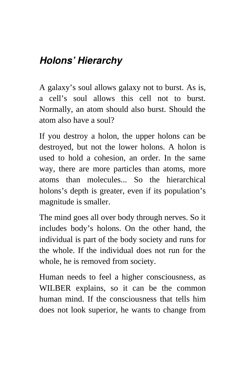# *Holons' Hierarchy*

A galaxy's soul allows galaxy not to burst. As is, a cell's soul allows this cell not to burst. Normally, an atom should also burst. Should the atom also have a soul?

If you destroy a holon, the upper holons can be destroyed, but not the lower holons. A holon is used to hold a cohesion, an order. In the same way, there are more particles than atoms, more atoms than molecules... So the hierarchical holons's depth is greater, even if its population's magnitude is smaller.

The mind goes all over body through nerves. So it includes body's holons. On the other hand, the individual is part of the body society and runs for the whole. If the individual does not run for the whole, he is removed from society.

Human needs to feel a higher consciousness, as WILBER explains, so it can be the common human mind. If the consciousness that tells him does not look superior, he wants to change from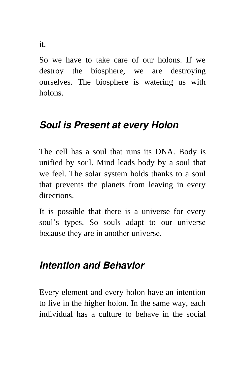So we have to take care of our holons. If we destroy the biosphere, we are destroying ourselves. The biosphere is watering us with holons.

## *Soul is Present at every Holon*

The cell has a soul that runs its DNA. Body is unified by soul. Mind leads body by a soul that we feel. The solar system holds thanks to a soul that prevents the planets from leaving in every directions.

It is possible that there is a universe for every soul's types. So souls adapt to our universe because they are in another universe.

#### *Intention and Behavior*

Every element and every holon have an intention to live in the higher holon. In the same way, each individual has a culture to behave in the social

it.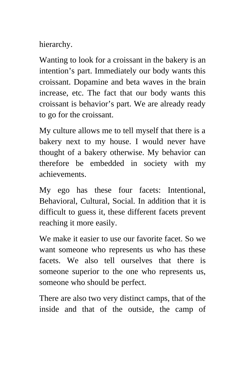hierarchy.

Wanting to look for a croissant in the bakery is an intention's part. Immediately our body wants this croissant. Dopamine and beta waves in the brain increase, etc. The fact that our body wants this croissant is behavior's part. We are already ready to go for the croissant.

My culture allows me to tell myself that there is a bakery next to my house. I would never have thought of a bakery otherwise. My behavior can therefore be embedded in society with my achievements.

My ego has these four facets: Intentional, Behavioral, Cultural, Social. In addition that it is difficult to guess it, these different facets prevent reaching it more easily.

We make it easier to use our favorite facet. So we want someone who represents us who has these facets. We also tell ourselves that there is someone superior to the one who represents us, someone who should be perfect.

There are also two very distinct camps, that of the inside and that of the outside, the camp of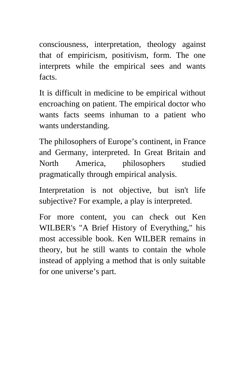consciousness, interpretation, theology against that of empiricism, positivism, form. The one interprets while the empirical sees and wants facts.

It is difficult in medicine to be empirical without encroaching on patient. The empirical doctor who wants facts seems inhuman to a patient who wants understanding.

The philosophers of Europe's continent, in France and Germany, interpreted. In Great Britain and North America, philosophers studied pragmatically through empirical analysis.

Interpretation is not objective, but isn't life subjective? For example, a play is interpreted.

For more content, you can check out Ken WILBER's "A Brief History of Everything," his most accessible book. Ken WILBER remains in theory, but he still wants to contain the whole instead of applying a method that is only suitable for one universe's part.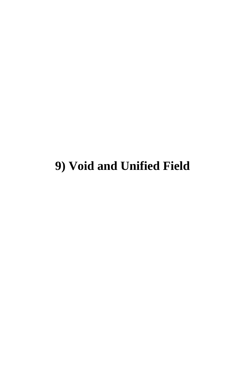# **9) Void and Unified Field**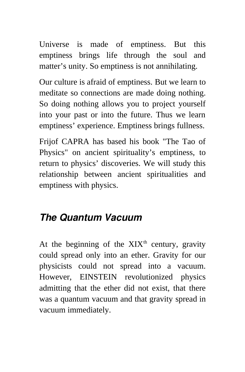Universe is made of emptiness. But this emptiness brings life through the soul and matter's unity. So emptiness is not annihilating.

Our culture is afraid of emptiness. But we learn to meditate so connections are made doing nothing. So doing nothing allows you to project yourself into your past or into the future. Thus we learn emptiness' experience. Emptiness brings fullness.

Frijof CAPRA has based his book "The Tao of Physics" on ancient spirituality's emptiness, to return to physics' discoveries. We will study this relationship between ancient spiritualities and emptiness with physics.

## *The Quantum Vacuum*

At the beginning of the  $XIX<sup>th</sup>$  century, gravity could spread only into an ether. Gravity for our physicists could not spread into a vacuum. However, EINSTEIN revolutionized physics admitting that the ether did not exist, that there was a quantum vacuum and that gravity spread in vacuum immediately.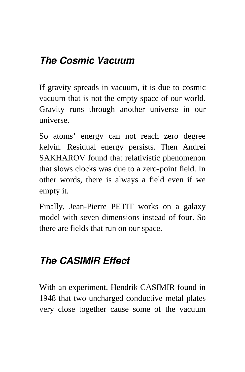# *The Cosmic Vacuum*

If gravity spreads in vacuum, it is due to cosmic vacuum that is not the empty space of our world. Gravity runs through another universe in our universe.

So atoms' energy can not reach zero degree kelvin. Residual energy persists. Then Andrei SAKHAROV found that relativistic phenomenon that slows clocks was due to a zero-point field. In other words, there is always a field even if we empty it.

Finally, Jean-Pierre PETIT works on a galaxy model with seven dimensions instead of four. So there are fields that run on our space.

# *The CASIMIR Effect*

With an experiment, Hendrik CASIMIR found in 1948 that two uncharged conductive metal plates very close together cause some of the vacuum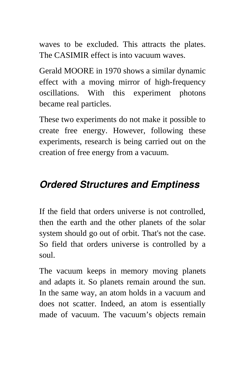waves to be excluded. This attracts the plates. The CASIMIR effect is into vacuum waves.

Gerald MOORE in 1970 shows a similar dynamic effect with a moving mirror of high-frequency oscillations. With this experiment photons became real particles.

These two experiments do not make it possible to create free energy. However, following these experiments, research is being carried out on the creation of free energy from a vacuum.

# *Ordered Structures and Emptiness*

If the field that orders universe is not controlled, then the earth and the other planets of the solar system should go out of orbit. That's not the case. So field that orders universe is controlled by a soul.

The vacuum keeps in memory moving planets and adapts it. So planets remain around the sun. In the same way, an atom holds in a vacuum and does not scatter. Indeed, an atom is essentially made of vacuum. The vacuum's objects remain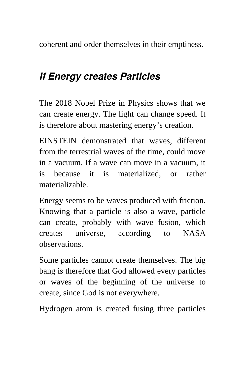coherent and order themselves in their emptiness.

#### *If Energy creates Particles*

The 2018 Nobel Prize in Physics shows that we can create energy. The light can change speed. It is therefore about mastering energy's creation.

EINSTEIN demonstrated that waves, different from the terrestrial waves of the time, could move in a vacuum. If a wave can move in a vacuum, it is because it is materialized, or rather materializable.

Energy seems to be waves produced with friction. Knowing that a particle is also a wave, particle can create, probably with wave fusion, which creates universe, according to NASA observations.

Some particles cannot create themselves. The big bang is therefore that God allowed every particles or waves of the beginning of the universe to create, since God is not everywhere.

Hydrogen atom is created fusing three particles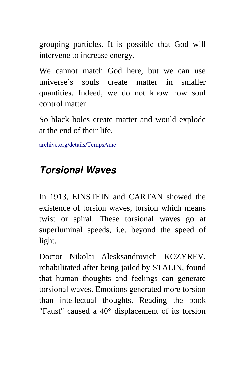grouping particles. It is possible that God will intervene to increase energy.

We cannot match God here, but we can use universe's souls create matter in smaller quantities. Indeed, we do not know how soul control matter.

So black holes create matter and would explode at the end of their life.

[archive.org/details/TempsAme](https://archive.org/details/TempsAme)

## *Torsional Waves*

In 1913, EINSTEIN and CARTAN showed the existence of torsion waves, torsion which means twist or spiral. These torsional waves go at superluminal speeds, i.e. beyond the speed of light.

Doctor Nikolai Alesksandrovich KOZYREV, rehabilitated after being jailed by STALIN, found that human thoughts and feelings can generate torsional waves. Emotions generated more torsion than intellectual thoughts. Reading the book "Faust" caused a 40° displacement of its torsion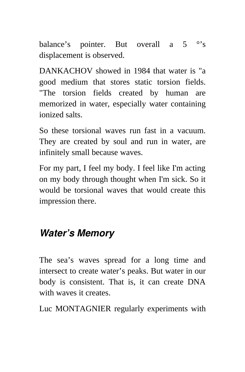balance's pointer. But overall a 5 °'s displacement is observed.

DANKACHOV showed in 1984 that water is "a good medium that stores static torsion fields. "The torsion fields created by human are memorized in water, especially water containing ionized salts.

So these torsional waves run fast in a vacuum. They are created by soul and run in water, are infinitely small because waves.

For my part, I feel my body. I feel like I'm acting on my body through thought when I'm sick. So it would be torsional waves that would create this impression there.

#### *Water's Memory*

The sea's waves spread for a long time and intersect to create water's peaks. But water in our body is consistent. That is, it can create DNA with waves it creates.

Luc MONTAGNIER regularly experiments with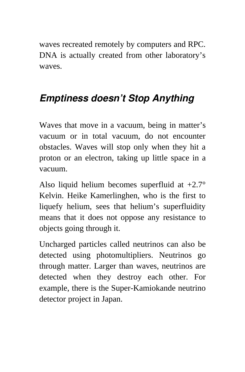waves recreated remotely by computers and RPC. DNA is actually created from other laboratory's waves.

## *Emptiness doesn't Stop Anything*

Waves that move in a vacuum, being in matter's vacuum or in total vacuum, do not encounter obstacles. Waves will stop only when they hit a proton or an electron, taking up little space in a vacuum.

Also liquid helium becomes superfluid at +2.7° Kelvin. Heike Kamerlinghen, who is the first to liquefy helium, sees that helium's superfluidity means that it does not oppose any resistance to objects going through it.

Uncharged particles called neutrinos can also be detected using photomultipliers. Neutrinos go through matter. Larger than waves, neutrinos are detected when they destroy each other. For example, there is the Super-Kamiokande neutrino detector project in Japan.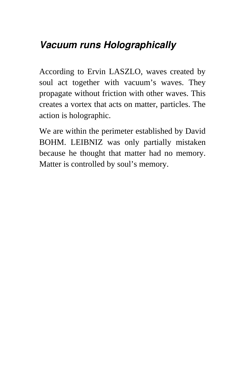## *Vacuum runs Holographically*

According to Ervin LASZLO, waves created by soul act together with vacuum's waves. They propagate without friction with other waves. This creates a vortex that acts on matter, particles. The action is holographic.

We are within the perimeter established by David BOHM. LEIBNIZ was only partially mistaken because he thought that matter had no memory. Matter is controlled by soul's memory.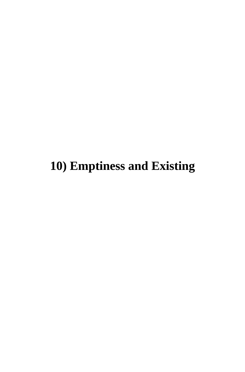**10) Emptiness and Existing**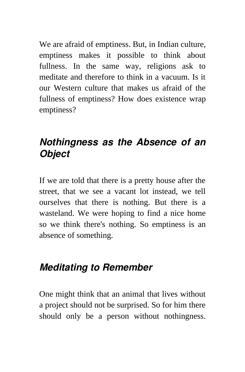We are afraid of emptiness. But, in Indian culture, emptiness makes it possible to think about fullness. In the same way, religions ask to meditate and therefore to think in a vacuum. Is it our Western culture that makes us afraid of the fullness of emptiness? How does existence wrap emptiness?

#### *Nothingness as the Absence of an Object*

If we are told that there is a pretty house after the street, that we see a vacant lot instead, we tell ourselves that there is nothing. But there is a wasteland. We were hoping to find a nice home so we think there's nothing. So emptiness is an absence of something.

#### *Meditating to Remember*

One might think that an animal that lives without a project should not be surprised. So for him there should only be a person without nothingness.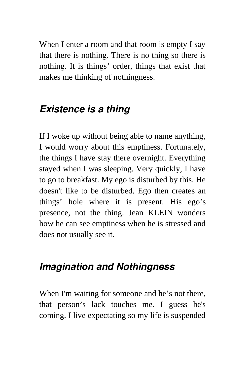When I enter a room and that room is empty I say that there is nothing. There is no thing so there is nothing. It is things' order, things that exist that makes me thinking of nothingness.

### *Existence is a thing*

If I woke up without being able to name anything, I would worry about this emptiness. Fortunately, the things I have stay there overnight. Everything stayed when I was sleeping. Very quickly, I have to go to breakfast. My ego is disturbed by this. He doesn't like to be disturbed. Ego then creates an things' hole where it is present. His ego's presence, not the thing. Jean KLEIN wonders how he can see emptiness when he is stressed and does not usually see it.

#### *Imagination and Nothingness*

When I'm waiting for someone and he's not there, that person's lack touches me. I guess he's coming. I live expectating so my life is suspended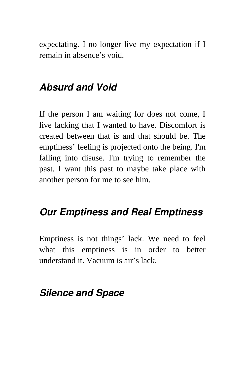expectating. I no longer live my expectation if I remain in absence's void.

#### *Absurd and Void*

If the person I am waiting for does not come, I live lacking that I wanted to have. Discomfort is created between that is and that should be. The emptiness' feeling is projected onto the being. I'm falling into disuse. I'm trying to remember the past. I want this past to maybe take place with another person for me to see him.

#### *Our Emptiness and Real Emptiness*

Emptiness is not things' lack. We need to feel what this emptiness is in order to better understand it. Vacuum is air's lack.

#### *Silence and Space*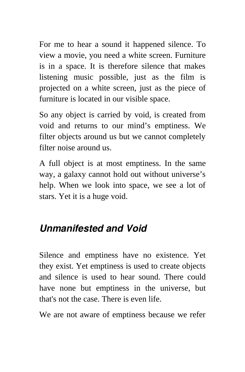For me to hear a sound it happened silence. To view a movie, you need a white screen. Furniture is in a space. It is therefore silence that makes listening music possible, just as the film is projected on a white screen, just as the piece of furniture is located in our visible space.

So any object is carried by void, is created from void and returns to our mind's emptiness. We filter objects around us but we cannot completely filter noise around us.

A full object is at most emptiness. In the same way, a galaxy cannot hold out without universe's help. When we look into space, we see a lot of stars. Yet it is a huge void.

#### *Unmanifested and Void*

Silence and emptiness have no existence. Yet they exist. Yet emptiness is used to create objects and silence is used to hear sound. There could have none but emptiness in the universe, but that's not the case. There is even life.

We are not aware of emptiness because we refer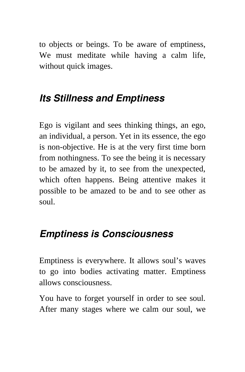to objects or beings. To be aware of emptiness, We must meditate while having a calm life, without quick images.

## *Its Stillness and Emptiness*

Ego is vigilant and sees thinking things, an ego, an individual, a person. Yet in its essence, the ego is non-objective. He is at the very first time born from nothingness. To see the being it is necessary to be amazed by it, to see from the unexpected, which often happens. Being attentive makes it possible to be amazed to be and to see other as soul.

#### *Emptiness is Consciousness*

Emptiness is everywhere. It allows soul's waves to go into bodies activating matter. Emptiness allows consciousness.

You have to forget yourself in order to see soul. After many stages where we calm our soul, we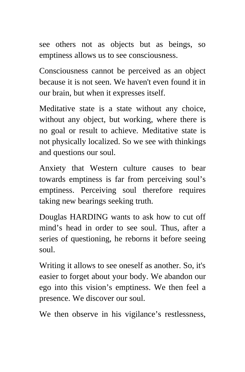see others not as objects but as beings, so emptiness allows us to see consciousness.

Consciousness cannot be perceived as an object because it is not seen. We haven't even found it in our brain, but when it expresses itself.

Meditative state is a state without any choice, without any object, but working, where there is no goal or result to achieve. Meditative state is not physically localized. So we see with thinkings and questions our soul.

Anxiety that Western culture causes to bear towards emptiness is far from perceiving soul's emptiness. Perceiving soul therefore requires taking new bearings seeking truth.

Douglas HARDING wants to ask how to cut off mind's head in order to see soul. Thus, after a series of questioning, he reborns it before seeing soul.

Writing it allows to see oneself as another. So, it's easier to forget about your body. We abandon our ego into this vision's emptiness. We then feel a presence. We discover our soul.

We then observe in his vigilance's restlessness,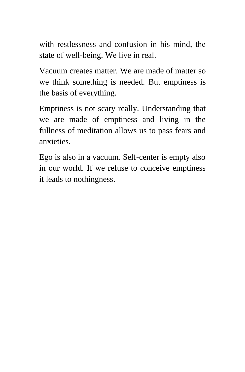with restlessness and confusion in his mind, the state of well-being. We live in real.

Vacuum creates matter. We are made of matter so we think something is needed. But emptiness is the basis of everything.

Emptiness is not scary really. Understanding that we are made of emptiness and living in the fullness of meditation allows us to pass fears and anxieties.

Ego is also in a vacuum. Self-center is empty also in our world. If we refuse to conceive emptiness it leads to nothingness.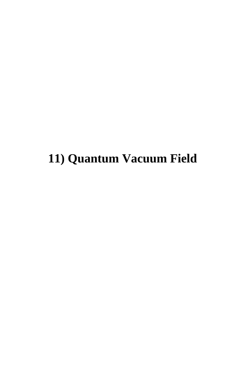## **11) Quantum Vacuum Field**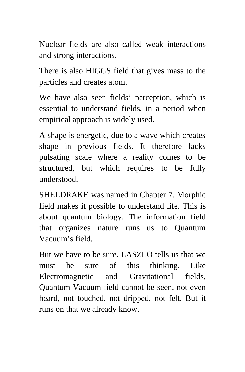Nuclear fields are also called weak interactions and strong interactions.

There is also HIGGS field that gives mass to the particles and creates atom.

We have also seen fields' perception, which is essential to understand fields, in a period when empirical approach is widely used.

A shape is energetic, due to a wave which creates shape in previous fields. It therefore lacks pulsating scale where a reality comes to be structured, but which requires to be fully understood.

SHELDRAKE was named in Chapter 7. Morphic field makes it possible to understand life. This is about quantum biology. The information field that organizes nature runs us to Quantum Vacuum's field.

But we have to be sure. LASZLO tells us that we must be sure of this thinking. Like Electromagnetic and Gravitational fields, Quantum Vacuum field cannot be seen, not even heard, not touched, not dripped, not felt. But it runs on that we already know.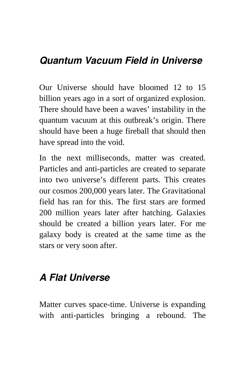#### *Quantum Vacuum Field in Universe*

Our Universe should have bloomed 12 to 15 billion years ago in a sort of organized explosion. There should have been a waves' instability in the quantum vacuum at this outbreak's origin. There should have been a huge fireball that should then have spread into the void.

In the next milliseconds, matter was created. Particles and anti-particles are created to separate into two universe's different parts. This creates our cosmos 200,000 years later. The Gravitational field has ran for this. The first stars are formed 200 million years later after hatching. Galaxies should be created a billion years later. For me galaxy body is created at the same time as the stars or very soon after.

## *A Flat Universe*

Matter curves space-time. Universe is expanding with anti-particles bringing a rebound. The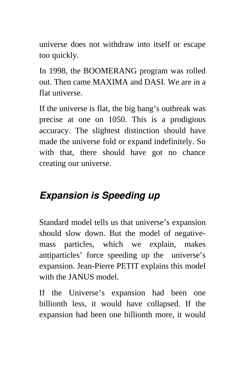universe does not withdraw into itself or escape too quickly.

In 1998, the BOOMERANG program was rolled out. Then came MAXIMA and DASI. We are in a flat universe.

If the universe is flat, the big bang's outbreak was precise at one on 1050. This is a prodigious accuracy. The slightest distinction should have made the universe fold or expand indefinitely. So with that, there should have got no chance creating our universe.

## *Expansion is Speeding up*

Standard model tells us that universe's expansion should slow down. But the model of negativemass particles, which we explain, makes antiparticles' force speeding up the universe's expansion. Jean-Pierre PETIT explains this model with the JANUS model.

If the Universe's expansion had been one billionth less, it would have collapsed. If the expansion had been one billionth more, it would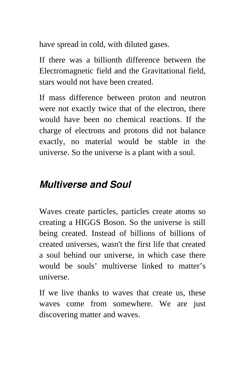have spread in cold, with diluted gases.

If there was a billionth difference between the Electromagnetic field and the Gravitational field, stars would not have been created.

If mass difference between proton and neutron were not exactly twice that of the electron, there would have been no chemical reactions. If the charge of electrons and protons did not balance exactly, no material would be stable in the universe. So the universe is a plant with a soul.

#### *Multiverse and Soul*

Waves create particles, particles create atoms so creating a HIGGS Boson. So the universe is still being created. Instead of billions of billions of created universes, wasn't the first life that created a soul behind our universe, in which case there would be souls' multiverse linked to matter's universe.

If we live thanks to waves that create us, these waves come from somewhere. We are just discovering matter and waves.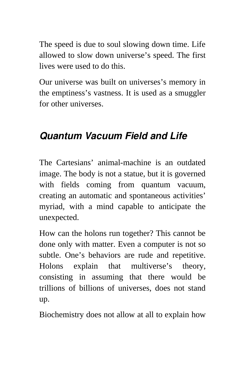The speed is due to soul slowing down time. Life allowed to slow down universe's speed. The first lives were used to do this.

Our universe was built on universes's memory in the emptiness's vastness. It is used as a smuggler for other universes.

#### *Quantum Vacuum Field and Life*

The Cartesians' animal-machine is an outdated image. The body is not a statue, but it is governed with fields coming from quantum vacuum, creating an automatic and spontaneous activities' myriad, with a mind capable to anticipate the unexpected.

How can the holons run together? This cannot be done only with matter. Even a computer is not so subtle. One's behaviors are rude and repetitive. Holons explain that multiverse's theory, consisting in assuming that there would be trillions of billions of universes, does not stand up.

Biochemistry does not allow at all to explain how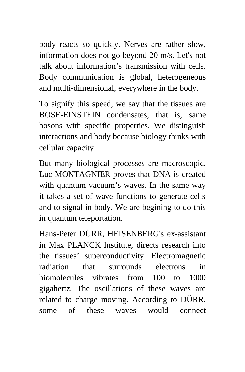body reacts so quickly. Nerves are rather slow, information does not go beyond 20 m/s. Let's not talk about information's transmission with cells. Body communication is global, heterogeneous and multi-dimensional, everywhere in the body.

To signify this speed, we say that the tissues are BOSE-EINSTEIN condensates, that is, same bosons with specific properties. We distinguish interactions and body because biology thinks with cellular capacity.

But many biological processes are macroscopic. Luc MONTAGNIER proves that DNA is created with quantum vacuum's waves. In the same way it takes a set of wave functions to generate cells and to signal in body. We are begining to do this in quantum teleportation.

Hans-Peter DÜRR, HEISENBERG's ex-assistant in Max PLANCK Institute, directs research into the tissues' superconductivity. Electromagnetic radiation that surrounds electrons in biomolecules vibrates from 100 to 1000 gigahertz. The oscillations of these waves are related to charge moving. According to DÜRR, some of these waves would connect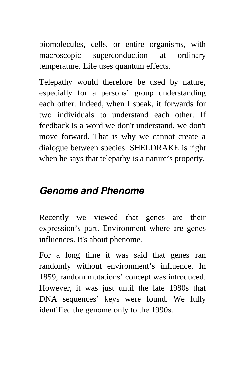biomolecules, cells, or entire organisms, with macroscopic superconduction at ordinary temperature. Life uses quantum effects.

Telepathy would therefore be used by nature, especially for a persons' group understanding each other. Indeed, when I speak, it forwards for two individuals to understand each other. If feedback is a word we don't understand, we don't move forward. That is why we cannot create a dialogue between species. SHELDRAKE is right when he says that telepathy is a nature's property.

#### *Genome and Phenome*

Recently we viewed that genes are their expression's part. Environment where are genes influences. It's about phenome.

For a long time it was said that genes ran randomly without environment's influence. In 1859, random mutations' concept was introduced. However, it was just until the late 1980s that DNA sequences' keys were found. We fully identified the genome only to the 1990s.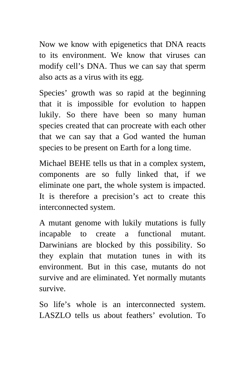Now we know with epigenetics that DNA reacts to its environment. We know that viruses can modify cell's DNA. Thus we can say that sperm also acts as a virus with its egg.

Species' growth was so rapid at the beginning that it is impossible for evolution to happen lukily. So there have been so many human species created that can procreate with each other that we can say that a God wanted the human species to be present on Earth for a long time.

Michael BEHE tells us that in a complex system, components are so fully linked that, if we eliminate one part, the whole system is impacted. It is therefore a precision's act to create this interconnected system.

A mutant genome with lukily mutations is fully incapable to create a functional mutant. Darwinians are blocked by this possibility. So they explain that mutation tunes in with its environment. But in this case, mutants do not survive and are eliminated. Yet normally mutants survive.

So life's whole is an interconnected system. LASZLO tells us about feathers' evolution. To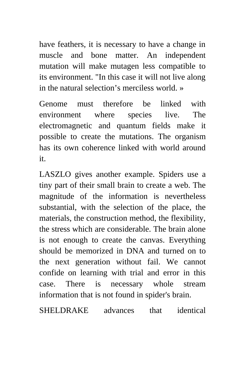have feathers, it is necessary to have a change in muscle and bone matter. An independent mutation will make mutagen less compatible to its environment. "In this case it will not live along in the natural selection's merciless world. »

Genome must therefore be linked with environment where species live. The electromagnetic and quantum fields make it possible to create the mutations. The organism has its own coherence linked with world around it.

LASZLO gives another example. Spiders use a tiny part of their small brain to create a web. The magnitude of the information is nevertheless substantial, with the selection of the place, the materials, the construction method, the flexibility, the stress which are considerable. The brain alone is not enough to create the canvas. Everything should be memorized in DNA and turned on to the next generation without fail. We cannot confide on learning with trial and error in this case. There is necessary whole stream information that is not found in spider's brain.

SHELDRAKE advances that identical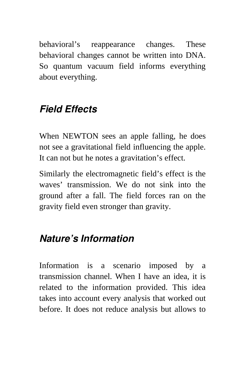behavioral's reappearance changes. These behavioral changes cannot be written into DNA. So quantum vacuum field informs everything about everything.

## *Field Effects*

When NEWTON sees an apple falling, he does not see a gravitational field influencing the apple. It can not but he notes a gravitation's effect.

Similarly the electromagnetic field's effect is the waves' transmission. We do not sink into the ground after a fall. The field forces ran on the gravity field even stronger than gravity.

## *Nature's Information*

Information is a scenario imposed by a transmission channel. When I have an idea, it is related to the information provided. This idea takes into account every analysis that worked out before. It does not reduce analysis but allows to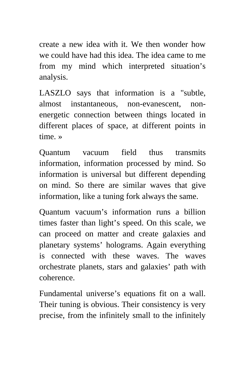create a new idea with it. We then wonder how we could have had this idea. The idea came to me from my mind which interpreted situation's analysis.

LASZLO says that information is a "subtle, almost instantaneous, non-evanescent, nonenergetic connection between things located in different places of space, at different points in time. »

Quantum vacuum field thus transmits information, information processed by mind. So information is universal but different depending on mind. So there are similar waves that give information, like a tuning fork always the same.

Quantum vacuum's information runs a billion times faster than light's speed. On this scale, we can proceed on matter and create galaxies and planetary systems' holograms. Again everything is connected with these waves. The waves orchestrate planets, stars and galaxies' path with coherence.

Fundamental universe's equations fit on a wall. Their tuning is obvious. Their consistency is very precise, from the infinitely small to the infinitely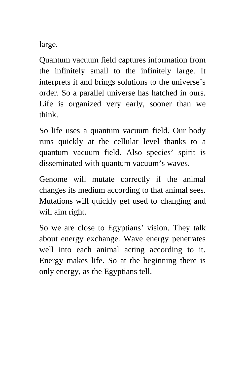large.

Quantum vacuum field captures information from the infinitely small to the infinitely large. It interprets it and brings solutions to the universe's order. So a parallel universe has hatched in ours. Life is organized very early, sooner than we think.

So life uses a quantum vacuum field. Our body runs quickly at the cellular level thanks to a quantum vacuum field. Also species' spirit is disseminated with quantum vacuum's waves.

Genome will mutate correctly if the animal changes its medium according to that animal sees. Mutations will quickly get used to changing and will aim right.

So we are close to Egyptians' vision. They talk about energy exchange. Wave energy penetrates well into each animal acting according to it. Energy makes life. So at the beginning there is only energy, as the Egyptians tell.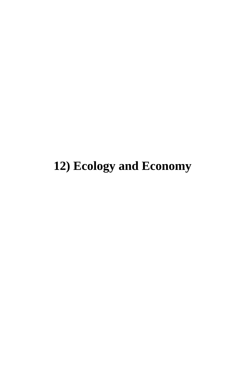# **12) Ecology and Economy**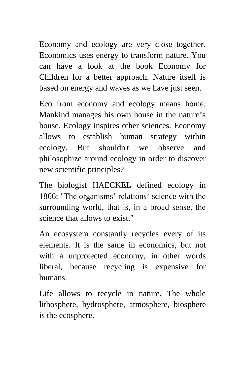Economy and ecology are very close together. Economics uses energy to transform nature. You can have a look at the book Economy for Children for a better approach. Nature itself is based on energy and waves as we have just seen.

Eco from economy and ecology means home. Mankind manages his own house in the nature's house. Ecology inspires other sciences. Economy allows to establish human strategy within ecology. But shouldn't we observe and philosophize around ecology in order to discover new scientific principles?

The biologist HAECKEL defined ecology in 1866: "The organisms' relations' science with the surrounding world, that is, in a broad sense, the science that allows to exist."

An ecosystem constantly recycles every of its elements. It is the same in economics, but not with a unprotected economy, in other words liberal, because recycling is expensive for humans.

Life allows to recycle in nature. The whole lithosphere, hydrosphere, atmosphere, biosphere is the ecosphere.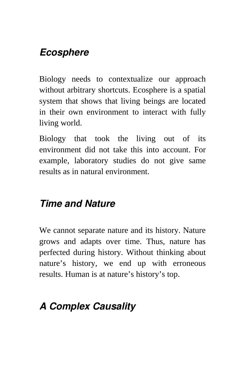#### *Ecosphere*

Biology needs to contextualize our approach without arbitrary shortcuts. Ecosphere is a spatial system that shows that living beings are located in their own environment to interact with fully living world.

Biology that took the living out of its environment did not take this into account. For example, laboratory studies do not give same results as in natural environment.

#### *Time and Nature*

We cannot separate nature and its history. Nature grows and adapts over time. Thus, nature has perfected during history. Without thinking about nature's history, we end up with erroneous results. Human is at nature's history's top.

## *A Complex Causality*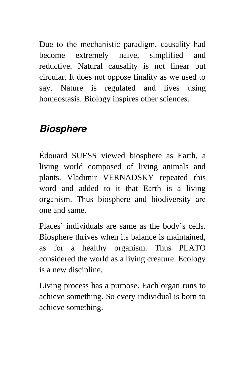Due to the mechanistic paradigm, causality had become extremely naive, simplified and reductive. Natural causality is not linear but circular. It does not oppose finality as we used to say. Nature is regulated and lives using homeostasis. Biology inspires other sciences.

#### *Biosphere*

Édouard SUESS viewed biosphere as Earth, a living world composed of living animals and plants. Vladimir VERNADSKY repeated this word and added to it that Earth is a living organism. Thus biosphere and biodiversity are one and same.

Places' individuals are same as the body's cells. Biosphere thrives when its balance is maintained, as for a healthy organism. Thus PLATO considered the world as a living creature. Ecology is a new discipline.

Living process has a purpose. Each organ runs to achieve something. So every individual is born to achieve something.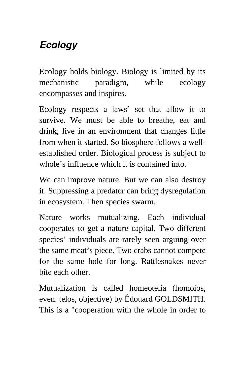## *Ecology*

Ecology holds biology. Biology is limited by its mechanistic paradigm, while ecology encompasses and inspires.

Ecology respects a laws' set that allow it to survive. We must be able to breathe, eat and drink, live in an environment that changes little from when it started. So biosphere follows a wellestablished order. Biological process is subject to whole's influence which it is contained into.

We can improve nature. But we can also destroy it. Suppressing a predator can bring dysregulation in ecosystem. Then species swarm.

Nature works mutualizing. Each individual cooperates to get a nature capital. Two different species' individuals are rarely seen arguing over the same meat's piece. Two crabs cannot compete for the same hole for long. Rattlesnakes never bite each other.

Mutualization is called homeotelia (homoios, even. telos, objective) by Édouard GOLDSMITH. This is a "cooperation with the whole in order to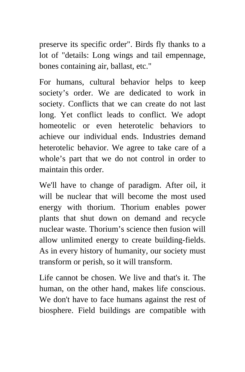preserve its specific order". Birds fly thanks to a lot of "details: Long wings and tail empennage, bones containing air, ballast, etc."

For humans, cultural behavior helps to keep society's order. We are dedicated to work in society. Conflicts that we can create do not last long. Yet conflict leads to conflict. We adopt homeotelic or even heterotelic behaviors to achieve our individual ends. Industries demand heterotelic behavior. We agree to take care of a whole's part that we do not control in order to maintain this order.

We'll have to change of paradigm. After oil, it will be nuclear that will become the most used energy with thorium. Thorium enables power plants that shut down on demand and recycle nuclear waste. Thorium's science then fusion will allow unlimited energy to create building-fields. As in every history of humanity, our society must transform or perish, so it will transform.

Life cannot be chosen. We live and that's it. The human, on the other hand, makes life conscious. We don't have to face humans against the rest of biosphere. Field buildings are compatible with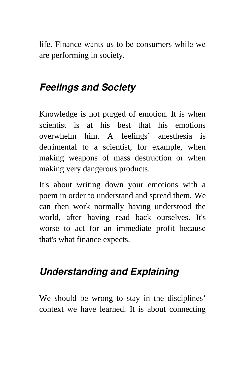life. Finance wants us to be consumers while we are performing in society.

#### *Feelings and Society*

Knowledge is not purged of emotion. It is when scientist is at his best that his emotions overwhelm him. A feelings' anesthesia is detrimental to a scientist, for example, when making weapons of mass destruction or when making very dangerous products.

It's about writing down your emotions with a poem in order to understand and spread them. We can then work normally having understood the world, after having read back ourselves. It's worse to act for an immediate profit because that's what finance expects.

#### *Understanding and Explaining*

We should be wrong to stay in the disciplines' context we have learned. It is about connecting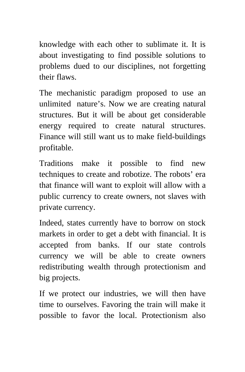knowledge with each other to sublimate it. It is about investigating to find possible solutions to problems dued to our disciplines, not forgetting their flaws.

The mechanistic paradigm proposed to use an unlimited nature's. Now we are creating natural structures. But it will be about get considerable energy required to create natural structures. Finance will still want us to make field-buildings profitable.

Traditions make it possible to find new techniques to create and robotize. The robots' era that finance will want to exploit will allow with a public currency to create owners, not slaves with private currency.

Indeed, states currently have to borrow on stock markets in order to get a debt with financial. It is accepted from banks. If our state controls currency we will be able to create owners redistributing wealth through protectionism and big projects.

If we protect our industries, we will then have time to ourselves. Favoring the train will make it possible to favor the local. Protectionism also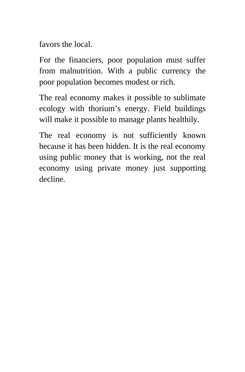favors the local.

For the financiers, poor population must suffer from malnutrition. With a public currency the poor population becomes modest or rich.

The real economy makes it possible to sublimate ecology with thorium's energy. Field buildings will make it possible to manage plants healthily.

The real economy is not sufficiently known because it has been hidden. It is the real economy using public money that is working, not the real economy using private money just supporting decline.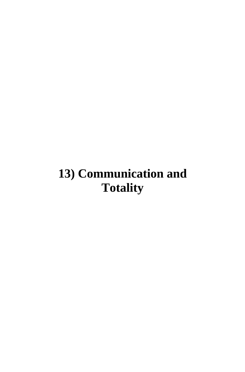## **13) Communication and Totality**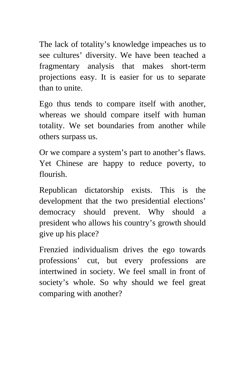The lack of totality's knowledge impeaches us to see cultures' diversity. We have been teached a fragmentary analysis that makes short-term projections easy. It is easier for us to separate than to unite.

Ego thus tends to compare itself with another, whereas we should compare itself with human totality. We set boundaries from another while others surpass us.

Or we compare a system's part to another's flaws. Yet Chinese are happy to reduce poverty, to flourish.

Republican dictatorship exists. This is the development that the two presidential elections' democracy should prevent. Why should a president who allows his country's growth should give up his place?

Frenzied individualism drives the ego towards professions' cut, but every professions are intertwined in society. We feel small in front of society's whole. So why should we feel great comparing with another?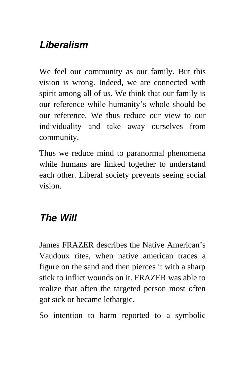## *Liberalism*

We feel our community as our family. But this vision is wrong. Indeed, we are connected with spirit among all of us. We think that our family is our reference while humanity's whole should be our reference. We thus reduce our view to our individuality and take away ourselves from community.

Thus we reduce mind to paranormal phenomena while humans are linked together to understand each other. Liberal society prevents seeing social vision.

## *The Will*

James FRAZER describes the Native American's Vaudoux rites, when native american traces a figure on the sand and then pierces it with a sharp stick to inflict wounds on it. FRAZER was able to realize that often the targeted person most often got sick or became lethargic.

So intention to harm reported to a symbolic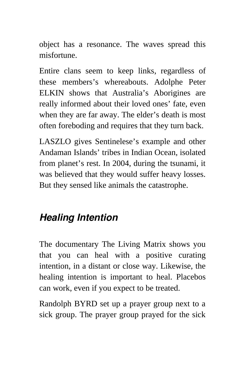object has a resonance. The waves spread this misfortune.

Entire clans seem to keep links, regardless of these members's whereabouts. Adolphe Peter ELKIN shows that Australia's Aborigines are really informed about their loved ones' fate, even when they are far away. The elder's death is most often foreboding and requires that they turn back.

LASZLO gives Sentinelese's example and other Andaman Islands' tribes in Indian Ocean, isolated from planet's rest. In 2004, during the tsunami, it was believed that they would suffer heavy losses. But they sensed like animals the catastrophe.

## *Healing Intention*

The documentary The Living Matrix shows you that you can heal with a positive curating intention, in a distant or close way. Likewise, the healing intention is important to heal. Placebos can work, even if you expect to be treated.

Randolph BYRD set up a prayer group next to a sick group. The prayer group prayed for the sick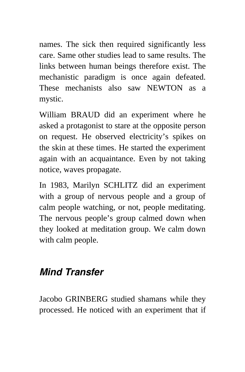names. The sick then required significantly less care. Same other studies lead to same results. The links between human beings therefore exist. The mechanistic paradigm is once again defeated. These mechanists also saw NEWTON as a mystic.

William BRAUD did an experiment where he asked a protagonist to stare at the opposite person on request. He observed electricity's spikes on the skin at these times. He started the experiment again with an acquaintance. Even by not taking notice, waves propagate.

In 1983, Marilyn SCHLITZ did an experiment with a group of nervous people and a group of calm people watching, or not, people meditating. The nervous people's group calmed down when they looked at meditation group. We calm down with calm people.

#### *Mind Transfer*

Jacobo GRINBERG studied shamans while they processed. He noticed with an experiment that if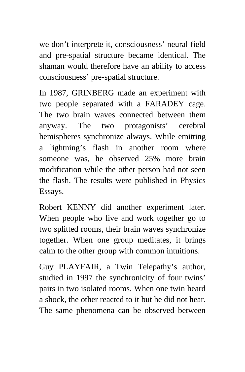we don't interprete it, consciousness' neural field and pre-spatial structure became identical. The shaman would therefore have an ability to access consciousness' pre-spatial structure.

In 1987, GRINBERG made an experiment with two people separated with a FARADEY cage. The two brain waves connected between them anyway. The two protagonists' cerebral hemispheres synchronize always. While emitting a lightning's flash in another room where someone was, he observed 25% more brain modification while the other person had not seen the flash. The results were published in Physics Essays.

Robert KENNY did another experiment later. When people who live and work together go to two splitted rooms, their brain waves synchronize together. When one group meditates, it brings calm to the other group with common intuitions.

Guy PLAYFAIR, a Twin Telepathy's author, studied in 1997 the synchronicity of four twins' pairs in two isolated rooms. When one twin heard a shock, the other reacted to it but he did not hear. The same phenomena can be observed between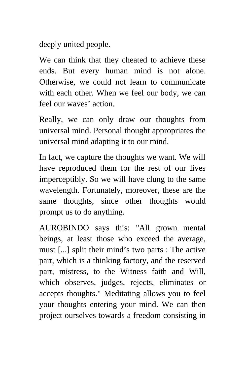deeply united people.

We can think that they cheated to achieve these ends. But every human mind is not alone. Otherwise, we could not learn to communicate with each other. When we feel our body, we can feel our waves' action.

Really, we can only draw our thoughts from universal mind. Personal thought appropriates the universal mind adapting it to our mind.

In fact, we capture the thoughts we want. We will have reproduced them for the rest of our lives imperceptibly. So we will have clung to the same wavelength. Fortunately, moreover, these are the same thoughts, since other thoughts would prompt us to do anything.

AUROBINDO says this: "All grown mental beings, at least those who exceed the average, must [...] split their mind's two parts : The active part, which is a thinking factory, and the reserved part, mistress, to the Witness faith and Will, which observes, judges, rejects, eliminates or accepts thoughts." Meditating allows you to feel your thoughts entering your mind. We can then project ourselves towards a freedom consisting in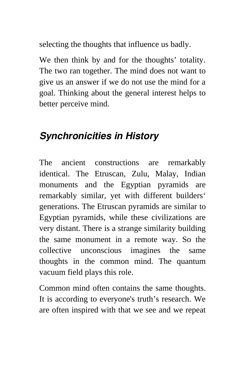selecting the thoughts that influence us badly.

We then think by and for the thoughts' totality. The two ran together. The mind does not want to give us an answer if we do not use the mind for a goal. Thinking about the general interest helps to better perceive mind.

#### *Synchronicities in History*

The ancient constructions are remarkably identical. The Etruscan, Zulu, Malay, Indian monuments and the Egyptian pyramids are remarkably similar, yet with different builders' generations. The Etruscan pyramids are similar to Egyptian pyramids, while these civilizations are very distant. There is a strange similarity building the same monument in a remote way. So the collective unconscious imagines the same thoughts in the common mind. The quantum vacuum field plays this role.

Common mind often contains the same thoughts. It is according to everyone's truth's research. We are often inspired with that we see and we repeat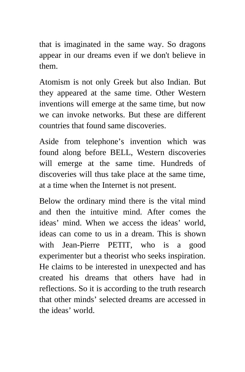that is imaginated in the same way. So dragons appear in our dreams even if we don't believe in them.

Atomism is not only Greek but also Indian. But they appeared at the same time. Other Western inventions will emerge at the same time, but now we can invoke networks. But these are different countries that found same discoveries.

Aside from telephone's invention which was found along before BELL, Western discoveries will emerge at the same time. Hundreds of discoveries will thus take place at the same time, at a time when the Internet is not present.

Below the ordinary mind there is the vital mind and then the intuitive mind. After comes the ideas' mind. When we access the ideas' world, ideas can come to us in a dream. This is shown with Jean-Pierre PETIT, who is a good experimenter but a theorist who seeks inspiration. He claims to be interested in unexpected and has created his dreams that others have had in reflections. So it is according to the truth research that other minds' selected dreams are accessed in the ideas' world.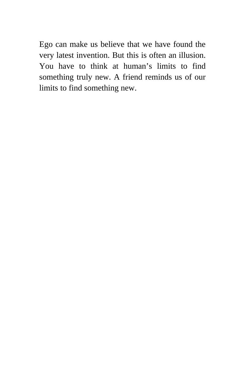Ego can make us believe that we have found the very latest invention. But this is often an illusion. You have to think at human's limits to find something truly new. A friend reminds us of our limits to find something new.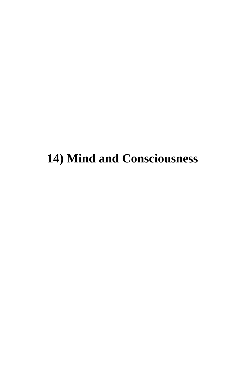## **14) Mind and Consciousness**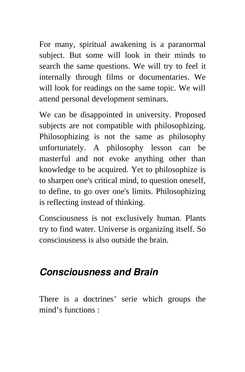For many, spiritual awakening is a paranormal subject. But some will look in their minds to search the same questions. We will try to feel it internally through films or documentaries. We will look for readings on the same topic. We will attend personal development seminars.

We can be disappointed in university. Proposed subjects are not compatible with philosophizing. Philosophizing is not the same as philosophy unfortunately. A philosophy lesson can be masterful and not evoke anything other than knowledge to be acquired. Yet to philosophize is to sharpen one's critical mind, to question oneself, to define, to go over one's limits. Philosophizing is reflecting instead of thinking.

Consciousness is not exclusively human. Plants try to find water. Universe is organizing itself. So consciousness is also outside the brain.

#### *Consciousness and Brain*

There is a doctrines' serie which groups the mind's functions :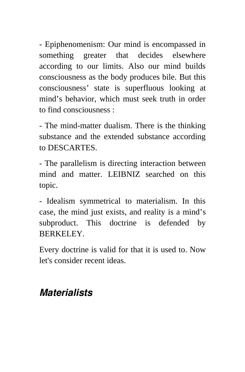- Epiphenomenism: Our mind is encompassed in something greater that decides elsewhere according to our limits. Also our mind builds consciousness as the body produces bile. But this consciousness' state is superfluous looking at mind's behavior, which must seek truth in order to find consciousness :

- The mind-matter dualism. There is the thinking substance and the extended substance according to DESCARTES.

- The parallelism is directing interaction between mind and matter. LEIBNIZ searched on this topic.

- Idealism symmetrical to materialism. In this case, the mind just exists, and reality is a mind's subproduct. This doctrine is defended by BERKELEY.

Every doctrine is valid for that it is used to. Now let's consider recent ideas.

#### *Materialists*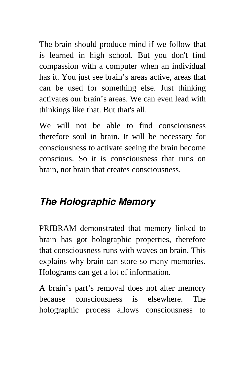The brain should produce mind if we follow that is learned in high school. But you don't find compassion with a computer when an individual has it. You just see brain's areas active, areas that can be used for something else. Just thinking activates our brain's areas. We can even lead with thinkings like that. But that's all.

We will not be able to find consciousness therefore soul in brain. It will be necessary for consciousness to activate seeing the brain become conscious. So it is consciousness that runs on brain, not brain that creates consciousness.

## *The Holographic Memory*

PRIBRAM demonstrated that memory linked to brain has got holographic properties, therefore that consciousness runs with waves on brain. This explains why brain can store so many memories. Holograms can get a lot of information.

A brain's part's removal does not alter memory because consciousness is elsewhere. The holographic process allows consciousness to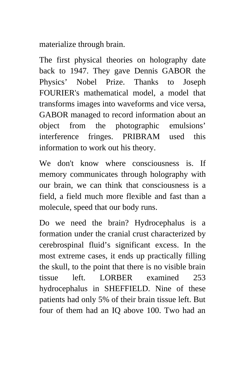materialize through brain.

The first physical theories on holography date back to 1947. They gave Dennis GABOR the Physics' Nobel Prize. Thanks to Joseph FOURIER's mathematical model, a model that transforms images into waveforms and vice versa, GABOR managed to record information about an object from the photographic emulsions' interference fringes. PRIBRAM used this information to work out his theory.

We don't know where consciousness is. If memory communicates through holography with our brain, we can think that consciousness is a field, a field much more flexible and fast than a molecule, speed that our body runs.

Do we need the brain? Hydrocephalus is a formation under the cranial crust characterized by cerebrospinal fluid's significant excess. In the most extreme cases, it ends up practically filling the skull, to the point that there is no visible brain tissue left. LORBER examined 253 hydrocephalus in SHEFFIELD. Nine of these patients had only 5% of their brain tissue left. But four of them had an IQ above 100. Two had an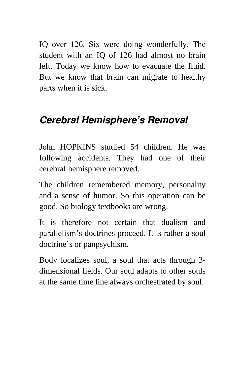IQ over 126. Six were doing wonderfully. The student with an IQ of 126 had almost no brain left. Today we know how to evacuate the fluid. But we know that brain can migrate to healthy parts when it is sick.

## *Cerebral Hemisphere's Removal*

John HOPKINS studied 54 children. He was following accidents. They had one of their cerebral hemisphere removed.

The children remembered memory, personality and a sense of humor. So this operation can be good. So biology textbooks are wrong.

It is therefore not certain that dualism and parallelism's doctrines proceed. It is rather a soul doctrine's or panpsychism.

Body localizes soul, a soul that acts through 3 dimensional fields. Our soul adapts to other souls at the same time line always orchestrated by soul.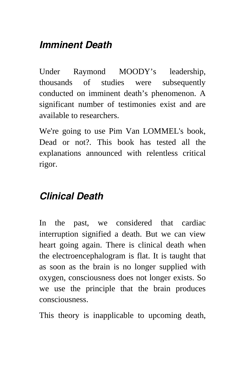## *Imminent Death*

Under Raymond MOODY's leadership, thousands of studies were subsequently conducted on imminent death's phenomenon. A significant number of testimonies exist and are available to researchers.

We're going to use Pim Van LOMMEL's book, Dead or not?. This book has tested all the explanations announced with relentless critical rigor.

## *Clinical Death*

In the past, we considered that cardiac interruption signified a death. But we can view heart going again. There is clinical death when the electroencephalogram is flat. It is taught that as soon as the brain is no longer supplied with oxygen, consciousness does not longer exists. So we use the principle that the brain produces consciousness.

This theory is inapplicable to upcoming death,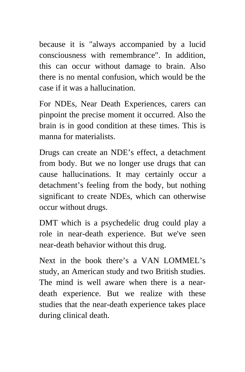because it is "always accompanied by a lucid consciousness with remembrance". In addition, this can occur without damage to brain. Also there is no mental confusion, which would be the case if it was a hallucination.

For NDEs, Near Death Experiences, carers can pinpoint the precise moment it occurred. Also the brain is in good condition at these times. This is manna for materialists.

Drugs can create an NDE's effect, a detachment from body. But we no longer use drugs that can cause hallucinations. It may certainly occur a detachment's feeling from the body, but nothing significant to create NDEs, which can otherwise occur without drugs.

DMT which is a psychedelic drug could play a role in near-death experience. But we've seen near-death behavior without this drug.

Next in the book there's a VAN LOMMEL's study, an American study and two British studies. The mind is well aware when there is a neardeath experience. But we realize with these studies that the near-death experience takes place during clinical death.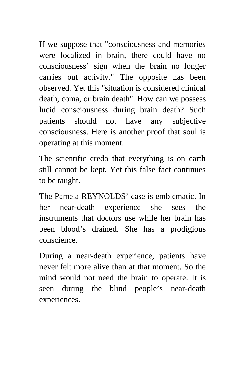If we suppose that "consciousness and memories were localized in brain, there could have no consciousness' sign when the brain no longer carries out activity." The opposite has been observed. Yet this "situation is considered clinical death, coma, or brain death". How can we possess lucid consciousness during brain death? Such patients should not have any subjective consciousness. Here is another proof that soul is operating at this moment.

The scientific credo that everything is on earth still cannot be kept. Yet this false fact continues to be taught.

The Pamela REYNOLDS' case is emblematic. In her near-death experience she sees the instruments that doctors use while her brain has been blood's drained. She has a prodigious conscience.

During a near-death experience, patients have never felt more alive than at that moment. So the mind would not need the brain to operate. It is seen during the blind people's near-death experiences.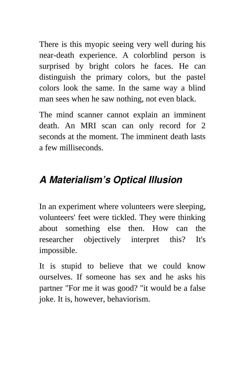There is this myopic seeing very well during his near-death experience. A colorblind person is surprised by bright colors he faces. He can distinguish the primary colors, but the pastel colors look the same. In the same way a blind man sees when he saw nothing, not even black.

The mind scanner cannot explain an imminent death. An MRI scan can only record for 2 seconds at the moment. The imminent death lasts a few milliseconds.

#### *A Materialism's Optical Illusion*

In an experiment where volunteers were sleeping, volunteers' feet were tickled. They were thinking about something else then. How can the researcher objectively interpret this? It's impossible.

It is stupid to believe that we could know ourselves. If someone has sex and he asks his partner "For me it was good? "it would be a false joke. It is, however, behaviorism.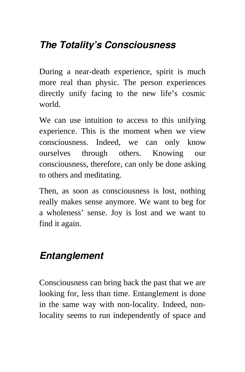## *The Totality's Consciousness*

During a near-death experience, spirit is much more real than physic. The person experiences directly unify facing to the new life's cosmic world.

We can use intuition to access to this unifying experience. This is the moment when we view consciousness. Indeed, we can only know ourselves through others. Knowing our consciousness, therefore, can only be done asking to others and meditating.

Then, as soon as consciousness is lost, nothing really makes sense anymore. We want to beg for a wholeness' sense. Joy is lost and we want to find it again.

#### *Entanglement*

Consciousness can bring back the past that we are looking for, less than time. Entanglement is done in the same way with non-locality. Indeed, nonlocality seems to run independently of space and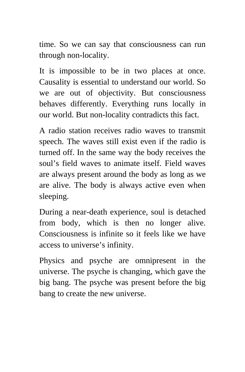time. So we can say that consciousness can run through non-locality.

It is impossible to be in two places at once. Causality is essential to understand our world. So we are out of objectivity. But consciousness behaves differently. Everything runs locally in our world. But non-locality contradicts this fact.

A radio station receives radio waves to transmit speech. The waves still exist even if the radio is turned off. In the same way the body receives the soul's field waves to animate itself. Field waves are always present around the body as long as we are alive. The body is always active even when sleeping.

During a near-death experience, soul is detached from body, which is then no longer alive. Consciousness is infinite so it feels like we have access to universe's infinity.

Physics and psyche are omnipresent in the universe. The psyche is changing, which gave the big bang. The psyche was present before the big bang to create the new universe.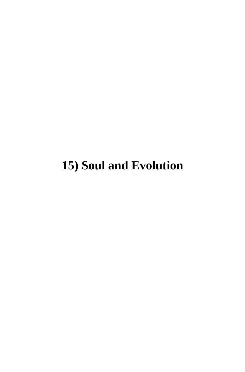## **15) Soul and Evolution**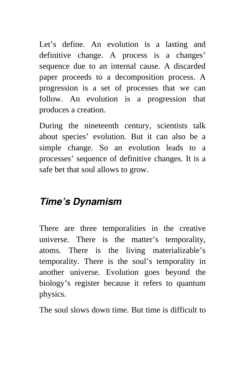Let's define. An evolution is a lasting and definitive change. A process is a changes' sequence due to an internal cause. A discarded paper proceeds to a decomposition process. A progression is a set of processes that we can follow. An evolution is a progression that produces a creation.

During the nineteenth century, scientists talk about species' evolution. But it can also be a simple change. So an evolution leads to a processes' sequence of definitive changes. It is a safe bet that soul allows to grow.

#### *Time's Dynamism*

There are three temporalities in the creative universe. There is the matter's temporality, atoms. There is the living materializable's temporality. There is the soul's temporality in another universe. Evolution goes beyond the biology's register because it refers to quantum physics.

The soul slows down time. But time is difficult to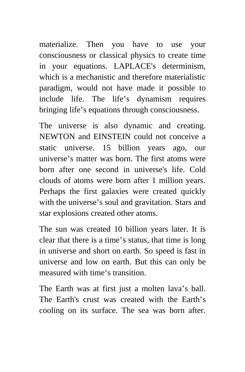materialize. Then you have to use your consciousness or classical physics to create time in your equations. LAPLACE's determinism, which is a mechanistic and therefore materialistic paradigm, would not have made it possible to include life. The life's dynamism requires bringing life's equations through consciousness.

The universe is also dynamic and creating. NEWTON and EINSTEIN could not conceive a static universe. 15 billion years ago, our universe's matter was born. The first atoms were born after one second in universe's life. Cold clouds of atoms were born after 1 million years. Perhaps the first galaxies were created quickly with the universe's soul and gravitation. Stars and star explosions created other atoms.

The sun was created 10 billion years later. It is clear that there is a time's status, that time is long in universe and short on earth. So speed is fast in universe and low on earth. But this can only be measured with time's transition.

The Earth was at first just a molten lava's ball. The Earth's crust was created with the Earth's cooling on its surface. The sea was born after.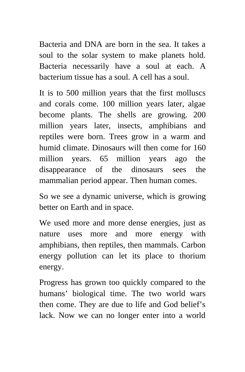Bacteria and DNA are born in the sea. It takes a soul to the solar system to make planets hold. Bacteria necessarily have a soul at each. A bacterium tissue has a soul. A cell has a soul.

It is to 500 million years that the first molluscs and corals come. 100 million years later, algae become plants. The shells are growing. 200 million years later, insects, amphibians and reptiles were born. Trees grow in a warm and humid climate. Dinosaurs will then come for 160 million years. 65 million years ago the disappearance of the dinosaurs sees the mammalian period appear. Then human comes.

So we see a dynamic universe, which is growing better on Earth and in space.

We used more and more dense energies, just as nature uses more and more energy with amphibians, then reptiles, then mammals. Carbon energy pollution can let its place to thorium energy.

Progress has grown too quickly compared to the humans' biological time. The two world wars then come. They are due to life and God belief's lack. Now we can no longer enter into a world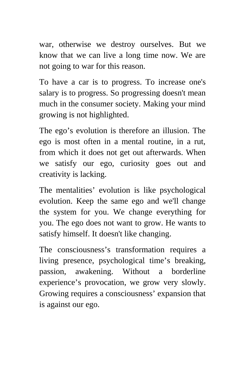war, otherwise we destroy ourselves. But we know that we can live a long time now. We are not going to war for this reason.

To have a car is to progress. To increase one's salary is to progress. So progressing doesn't mean much in the consumer society. Making your mind growing is not highlighted.

The ego's evolution is therefore an illusion. The ego is most often in a mental routine, in a rut, from which it does not get out afterwards. When we satisfy our ego, curiosity goes out and creativity is lacking.

The mentalities' evolution is like psychological evolution. Keep the same ego and we'll change the system for you. We change everything for you. The ego does not want to grow. He wants to satisfy himself. It doesn't like changing.

The consciousness's transformation requires a living presence, psychological time's breaking, passion, awakening. Without a borderline experience's provocation, we grow very slowly. Growing requires a consciousness' expansion that is against our ego.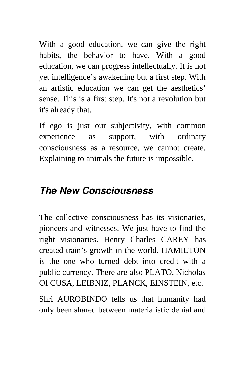With a good education, we can give the right habits, the behavior to have. With a good education, we can progress intellectually. It is not yet intelligence's awakening but a first step. With an artistic education we can get the aesthetics' sense. This is a first step. It's not a revolution but it's already that.

If ego is just our subjectivity, with common experience as support, with ordinary consciousness as a resource, we cannot create. Explaining to animals the future is impossible.

#### *The New Consciousness*

The collective consciousness has its visionaries, pioneers and witnesses. We just have to find the right visionaries. Henry Charles CAREY has created train's growth in the world. HAMILTON is the one who turned debt into credit with a public currency. There are also PLATO, Nicholas Of CUSA, LEIBNIZ, PLANCK, EINSTEIN, etc.

Shri AUROBINDO tells us that humanity had only been shared between materialistic denial and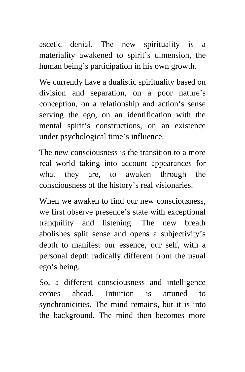ascetic denial. The new spirituality is a materiality awakened to spirit's dimension, the human being's participation in his own growth.

We currently have a dualistic spirituality based on division and separation, on a poor nature's conception, on a relationship and action's sense serving the ego, on an identification with the mental spirit's constructions, on an existence under psychological time's influence.

The new consciousness is the transition to a more real world taking into account appearances for what they are, to awaken through the consciousness of the history's real visionaries.

When we awaken to find our new consciousness, we first observe presence's state with exceptional tranquility and listening. The new breath abolishes split sense and opens a subjectivity's depth to manifest our essence, our self, with a personal depth radically different from the usual ego's being.

So, a different consciousness and intelligence comes ahead. Intuition is attuned to synchronicities. The mind remains, but it is into the background. The mind then becomes more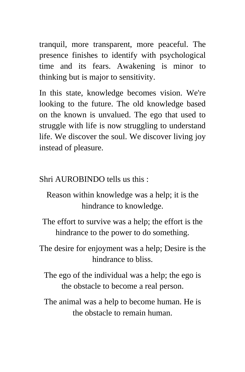tranquil, more transparent, more peaceful. The presence finishes to identify with psychological time and its fears. Awakening is minor to thinking but is major to sensitivity.

In this state, knowledge becomes vision. We're looking to the future. The old knowledge based on the known is unvalued. The ego that used to struggle with life is now struggling to understand life. We discover the soul. We discover living joy instead of pleasure.

Shri AUROBINDO tells us this :

Reason within knowledge was a help; it is the hindrance to knowledge.

The effort to survive was a help; the effort is the hindrance to the power to do something.

The desire for enjoyment was a help; Desire is the hindrance to bliss.

The ego of the individual was a help; the ego is the obstacle to become a real person.

The animal was a help to become human. He is the obstacle to remain human.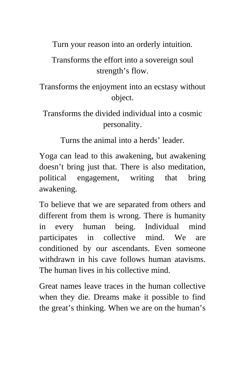Turn your reason into an orderly intuition.

Transforms the effort into a sovereign soul strength's flow.

Transforms the enjoyment into an ecstasy without object.

Transforms the divided individual into a cosmic personality.

Turns the animal into a herds' leader.

Yoga can lead to this awakening, but awakening doesn't bring just that. There is also meditation, political engagement, writing that bring awakening.

To believe that we are separated from others and different from them is wrong. There is humanity in every human being. Individual mind participates in collective mind. We are conditioned by our ascendants. Even someone withdrawn in his cave follows human atavisms. The human lives in his collective mind.

Great names leave traces in the human collective when they die. Dreams make it possible to find the great's thinking. When we are on the human's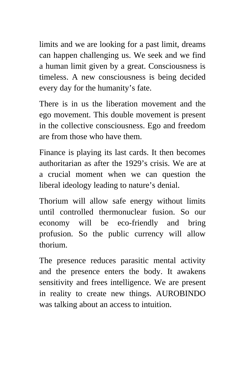limits and we are looking for a past limit, dreams can happen challenging us. We seek and we find a human limit given by a great. Consciousness is timeless. A new consciousness is being decided every day for the humanity's fate.

There is in us the liberation movement and the ego movement. This double movement is present in the collective consciousness. Ego and freedom are from those who have them.

Finance is playing its last cards. It then becomes authoritarian as after the 1929's crisis. We are at a crucial moment when we can question the liberal ideology leading to nature's denial.

Thorium will allow safe energy without limits until controlled thermonuclear fusion. So our economy will be eco-friendly and bring profusion. So the public currency will allow thorium.

The presence reduces parasitic mental activity and the presence enters the body. It awakens sensitivity and frees intelligence. We are present in reality to create new things. AUROBINDO was talking about an access to intuition.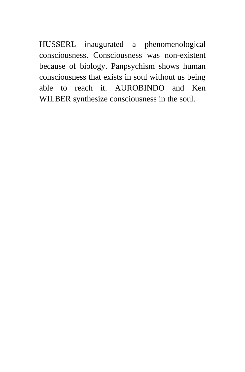HUSSERL inaugurated a phenomenological consciousness. Consciousness was non-existent because of biology. Panpsychism shows human consciousness that exists in soul without us being able to reach it. AUROBINDO and Ken WILBER synthesize consciousness in the soul.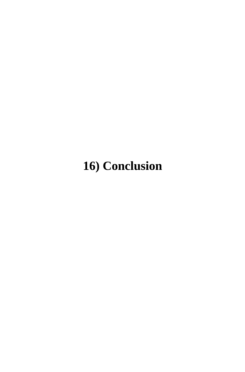## **16) Conclusion**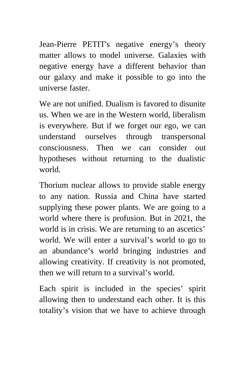Jean-Pierre PETIT's negative energy's theory matter allows to model universe. Galaxies with negative energy have a different behavior than our galaxy and make it possible to go into the universe faster.

We are not unified. Dualism is favored to disunite us. When we are in the Western world, liberalism is everywhere. But if we forget our ego, we can understand ourselves through transpersonal consciousness. Then we can consider out hypotheses without returning to the dualistic world.

Thorium nuclear allows to provide stable energy to any nation. Russia and China have started supplying these power plants. We are going to a world where there is profusion. But in 2021, the world is in crisis. We are returning to an ascetics' world. We will enter a survival's world to go to an abundance's world bringing industries and allowing creativity. If creativity is not promoted, then we will return to a survival's world.

Each spirit is included in the species' spirit allowing then to understand each other. It is this totality's vision that we have to achieve through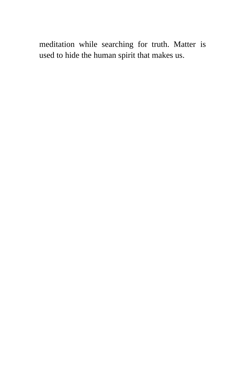meditation while searching for truth. Matter is used to hide the human spirit that makes us.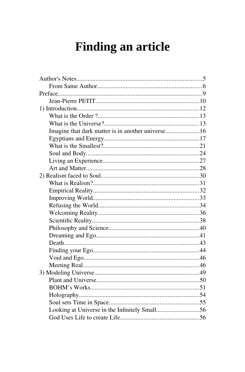# **Finding an article**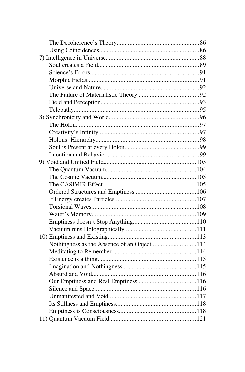| Nothingness as the Absence of an Object114 |  |
|--------------------------------------------|--|
|                                            |  |
|                                            |  |
|                                            |  |
|                                            |  |
|                                            |  |
|                                            |  |
|                                            |  |
|                                            |  |
|                                            |  |
|                                            |  |